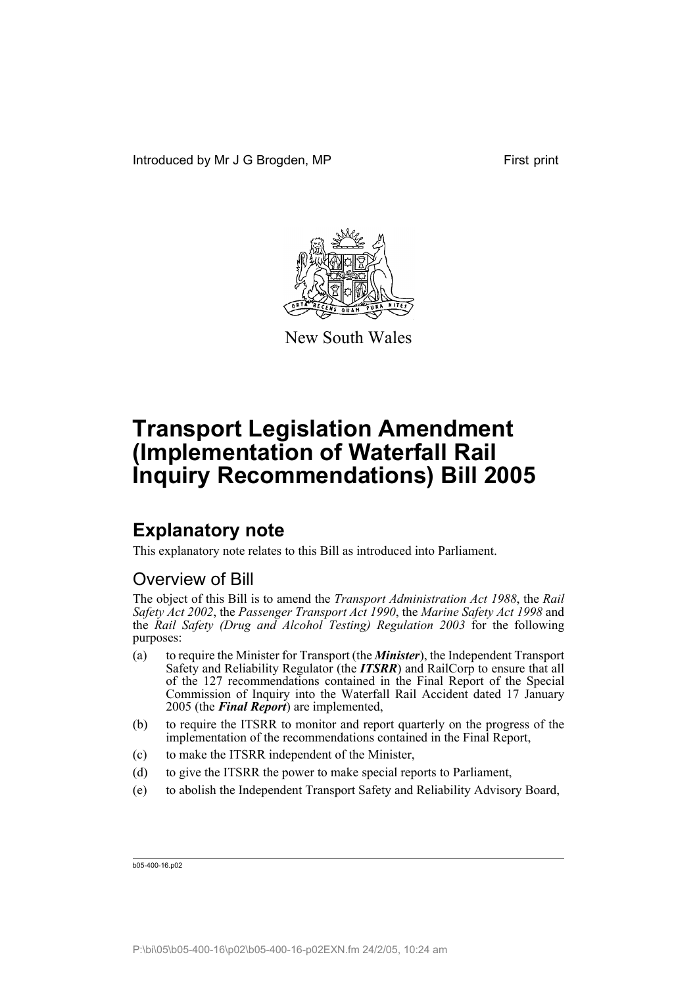

New South Wales

# **Explanatory note**

This explanatory note relates to this Bill as introduced into Parliament.

# Overview of Bill

The object of this Bill is to amend the *Transport Administration Act 1988*, the *Rail Safety Act 2002*, the *Passenger Transport Act 1990*, the *Marine Safety Act 1998* and the *Rail Safety (Drug and Alcohol Testing) Regulation 2003* for the following purposes:

- (a) to require the Minister for Transport (the *Minister*), the Independent Transport Safety and Reliability Regulator (the *ITSRR*) and RailCorp to ensure that all of the 127 recommendations contained in the Final Report of the Special Commission of Inquiry into the Waterfall Rail Accident dated 17 January 2005 (the *Final Report*) are implemented,
- (b) to require the ITSRR to monitor and report quarterly on the progress of the implementation of the recommendations contained in the Final Report,
- (c) to make the ITSRR independent of the Minister,
- (d) to give the ITSRR the power to make special reports to Parliament,
- (e) to abolish the Independent Transport Safety and Reliability Advisory Board,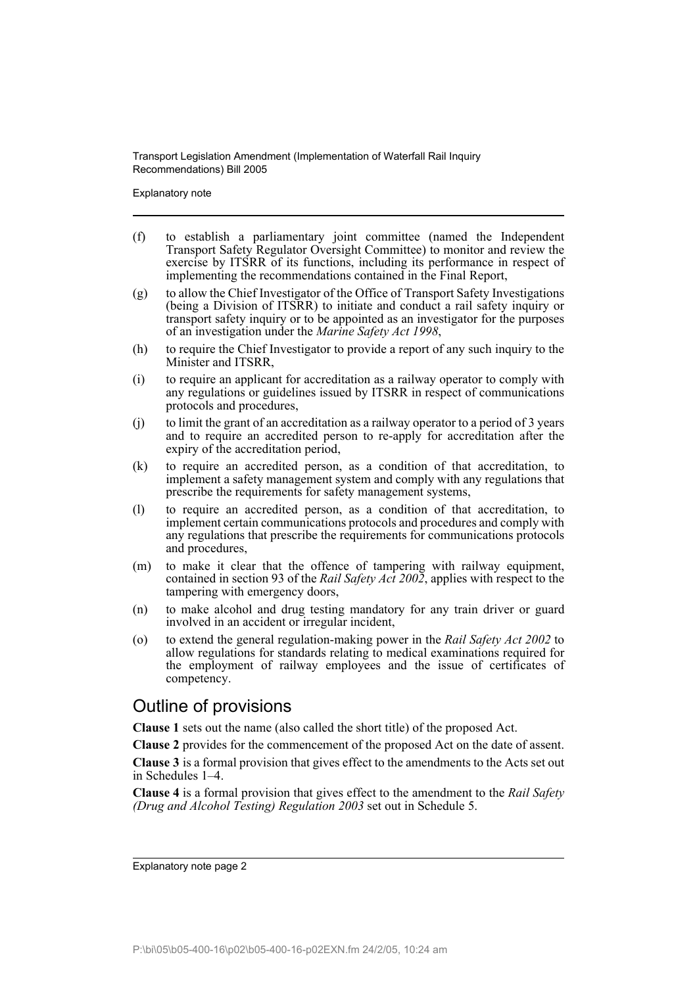Explanatory note

- (f) to establish a parliamentary joint committee (named the Independent Transport Safety Regulator Oversight Committee) to monitor and review the exercise by ITSRR of its functions, including its performance in respect of implementing the recommendations contained in the Final Report,
- (g) to allow the Chief Investigator of the Office of Transport Safety Investigations (being a Division of ITSRR) to initiate and conduct a rail safety inquiry or transport safety inquiry or to be appointed as an investigator for the purposes of an investigation under the *Marine Safety Act 1998*,
- (h) to require the Chief Investigator to provide a report of any such inquiry to the Minister and ITSRR,
- (i) to require an applicant for accreditation as a railway operator to comply with any regulations or guidelines issued by ITSRR in respect of communications protocols and procedures,
- (j) to limit the grant of an accreditation as a railway operator to a period of 3 years and to require an accredited person to re-apply for accreditation after the expiry of the accreditation period,
- (k) to require an accredited person, as a condition of that accreditation, to implement a safety management system and comply with any regulations that prescribe the requirements for safety management systems,
- (l) to require an accredited person, as a condition of that accreditation, to implement certain communications protocols and procedures and comply with any regulations that prescribe the requirements for communications protocols and procedures,
- (m) to make it clear that the offence of tampering with railway equipment, contained in section 93 of the *Rail Safety Act 2002*, applies with respect to the tampering with emergency doors,
- (n) to make alcohol and drug testing mandatory for any train driver or guard involved in an accident or irregular incident,
- (o) to extend the general regulation-making power in the *Rail Safety Act 2002* to allow regulations for standards relating to medical examinations required for the employment of railway employees and the issue of certificates of competency.

## Outline of provisions

**Clause 1** sets out the name (also called the short title) of the proposed Act.

**Clause 2** provides for the commencement of the proposed Act on the date of assent.

**Clause 3** is a formal provision that gives effect to the amendments to the Acts set out in Schedules 1–4.

**Clause 4** is a formal provision that gives effect to the amendment to the *Rail Safety (Drug and Alcohol Testing) Regulation 2003* set out in Schedule 5.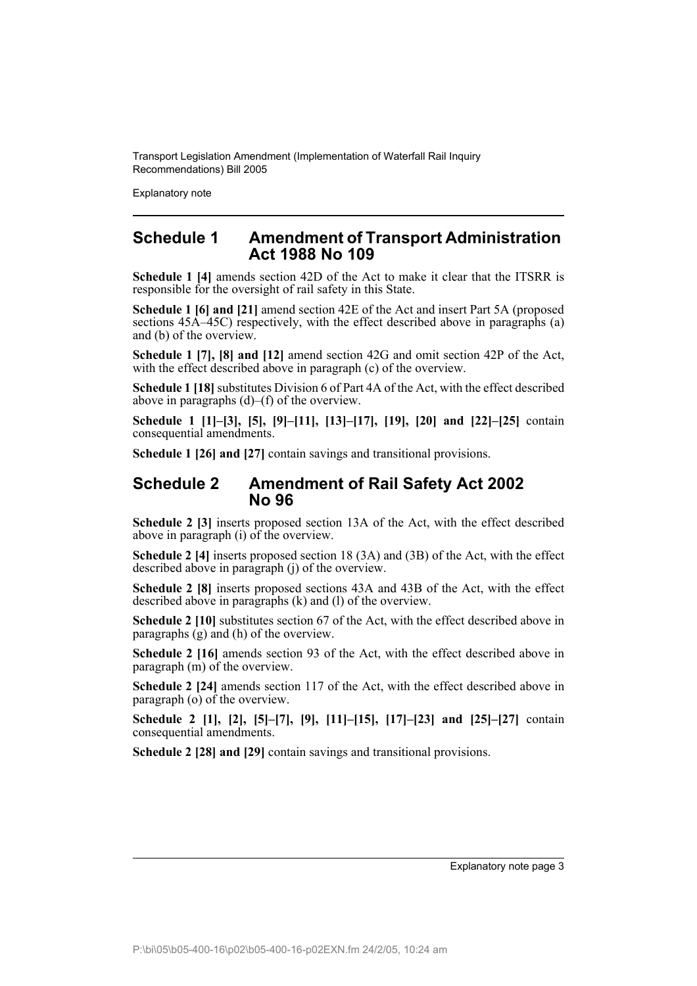Explanatory note

## **Schedule 1 Amendment of Transport Administration Act 1988 No 109**

**Schedule 1 [4]** amends section 42D of the Act to make it clear that the ITSRR is responsible for the oversight of rail safety in this State.

**Schedule 1 [6] and [21]** amend section 42E of the Act and insert Part 5A (proposed sections  $45\overline{A}$ –45C) respectively, with the effect described above in paragraphs (a) and (b) of the overview.

**Schedule 1 [7], [8] and [12]** amend section 42G and omit section 42P of the Act, with the effect described above in paragraph (c) of the overview.

**Schedule 1 [18]** substitutes Division 6 of Part 4A of the Act, with the effect described above in paragraphs (d)–(f) of the overview.

**Schedule 1 [1]–[3], [5], [9]–[11], [13]–[17], [19], [20] and [22]–[25]** contain consequential amendments.

**Schedule 1 [26] and [27]** contain savings and transitional provisions.

## **Schedule 2 Amendment of Rail Safety Act 2002 No 96**

**Schedule 2 [3]** inserts proposed section 13A of the Act, with the effect described above in paragraph (i) of the overview.

**Schedule 2 [4]** inserts proposed section 18 (3A) and (3B) of the Act, with the effect described above in paragraph (j) of the overview.

**Schedule 2 [8]** inserts proposed sections 43A and 43B of the Act, with the effect described above in paragraphs (k) and (l) of the overview.

**Schedule 2 [10]** substitutes section 67 of the Act, with the effect described above in paragraphs (g) and (h) of the overview.

**Schedule 2 [16]** amends section 93 of the Act, with the effect described above in paragraph (m) of the overview.

**Schedule 2 [24]** amends section 117 of the Act, with the effect described above in paragraph  $(o)$  of the overview.

**Schedule 2 [1], [2], [5]–[7], [9], [11]–[15], [17]–[23] and [25]–[27]** contain consequential amendments.

**Schedule 2 [28] and [29]** contain savings and transitional provisions.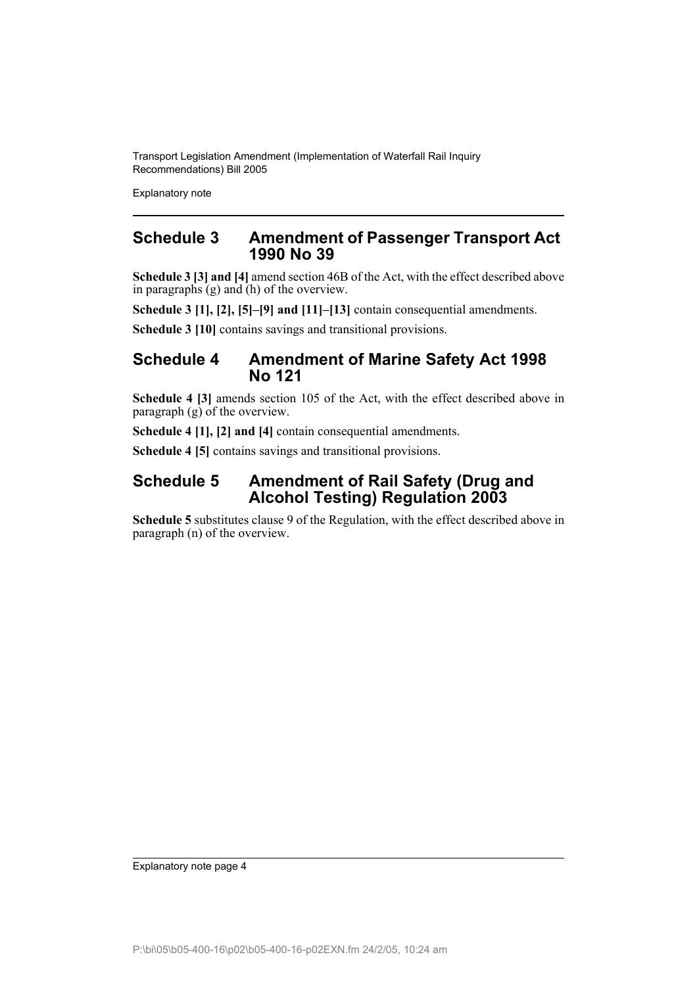Explanatory note

## **Schedule 3 Amendment of Passenger Transport Act 1990 No 39**

**Schedule 3 [3] and [4]** amend section 46B of the Act, with the effect described above in paragraphs (g) and (h) of the overview.

**Schedule 3 [1], [2], [5]–[9] and [11]–[13]** contain consequential amendments.

**Schedule 3 [10]** contains savings and transitional provisions.

## **Schedule 4 Amendment of Marine Safety Act 1998 No 121**

**Schedule 4 [3]** amends section 105 of the Act, with the effect described above in paragraph (g) of the overview.

**Schedule 4 [1], [2] and [4]** contain consequential amendments.

**Schedule 4 [5]** contains savings and transitional provisions.

## **Schedule 5 Amendment of Rail Safety (Drug and Alcohol Testing) Regulation 2003**

**Schedule 5** substitutes clause 9 of the Regulation, with the effect described above in paragraph (n) of the overview.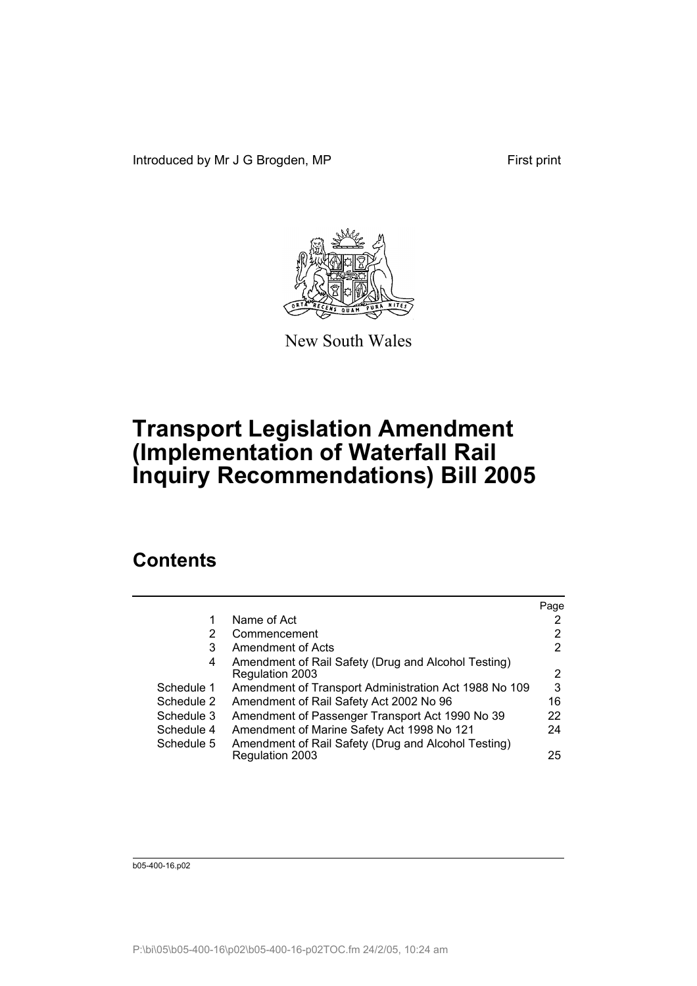Introduced by Mr J G Brogden, MP First print



New South Wales

# **Transport Legislation Amendment (Implementation of Waterfall Rail Inquiry Recommendations) Bill 2005**

# **Contents**

|            |                                                                        | Page |
|------------|------------------------------------------------------------------------|------|
|            | Name of Act                                                            |      |
| 2          | Commencement                                                           | 2    |
| 3          | Amendment of Acts                                                      | 2    |
| 4          | Amendment of Rail Safety (Drug and Alcohol Testing)<br>Regulation 2003 | 2    |
| Schedule 1 | Amendment of Transport Administration Act 1988 No 109                  | 3    |
| Schedule 2 | Amendment of Rail Safety Act 2002 No 96                                | 16   |
| Schedule 3 | Amendment of Passenger Transport Act 1990 No 39                        | 22   |
| Schedule 4 | Amendment of Marine Safety Act 1998 No 121                             | 24   |
| Schedule 5 | Amendment of Rail Safety (Drug and Alcohol Testing)                    |      |
|            | Regulation 2003                                                        | 25   |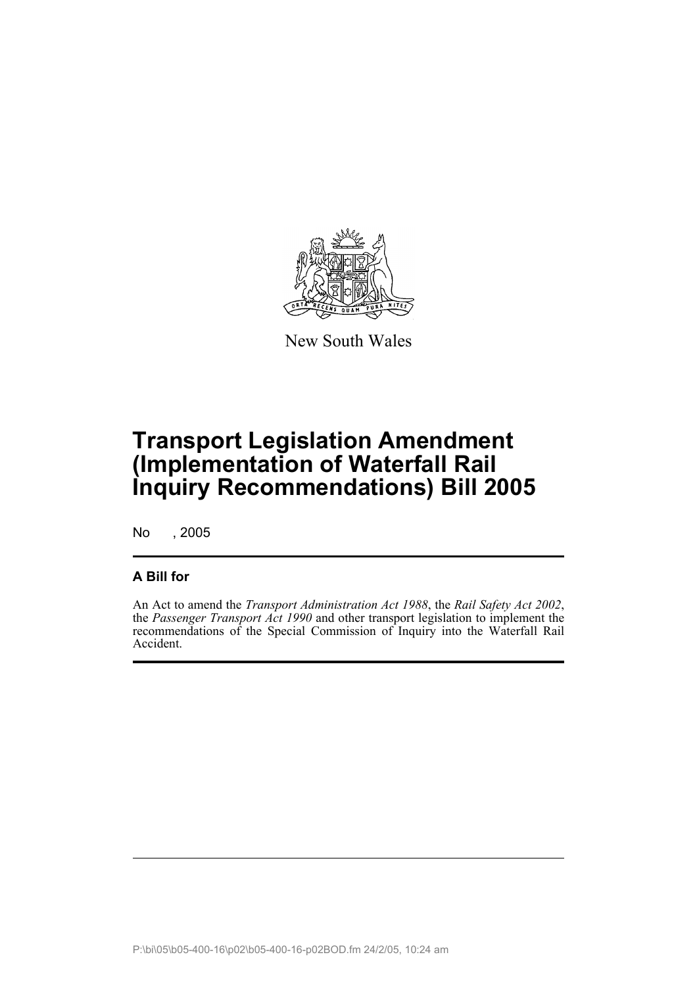

New South Wales

# **Transport Legislation Amendment (Implementation of Waterfall Rail Inquiry Recommendations) Bill 2005**

No , 2005

## **A Bill for**

An Act to amend the *Transport Administration Act 1988*, the *Rail Safety Act 2002*, the *Passenger Transport Act 1990* and other transport legislation to implement the recommendations of the Special Commission of Inquiry into the Waterfall Rail Accident.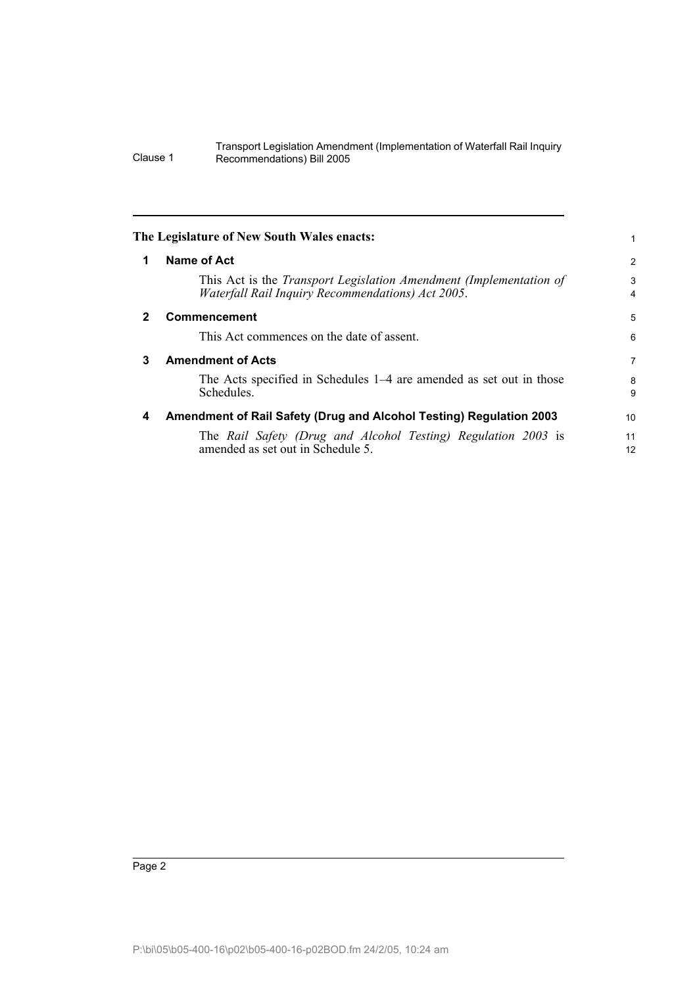<span id="page-7-3"></span><span id="page-7-2"></span><span id="page-7-1"></span><span id="page-7-0"></span>

|   | The Legislature of New South Wales enacts:                                                                                     |                |
|---|--------------------------------------------------------------------------------------------------------------------------------|----------------|
| 1 | Name of Act                                                                                                                    | $\overline{2}$ |
|   | This Act is the Transport Legislation Amendment (Implementation of<br><i>Waterfall Rail Inquiry Recommendations) Act 2005.</i> | 3<br>4         |
| 2 | <b>Commencement</b>                                                                                                            | 5              |
|   | This Act commences on the date of assent.                                                                                      | 6              |
| 3 | <b>Amendment of Acts</b>                                                                                                       | 7              |
|   | The Acts specified in Schedules 1–4 are amended as set out in those<br>Schedules.                                              | 8<br>9         |
| 4 | Amendment of Rail Safety (Drug and Alcohol Testing) Regulation 2003                                                            | 10             |
|   | The Rail Safety (Drug and Alcohol Testing) Regulation 2003 is<br>amended as set out in Schedule 5.                             | 11<br>12       |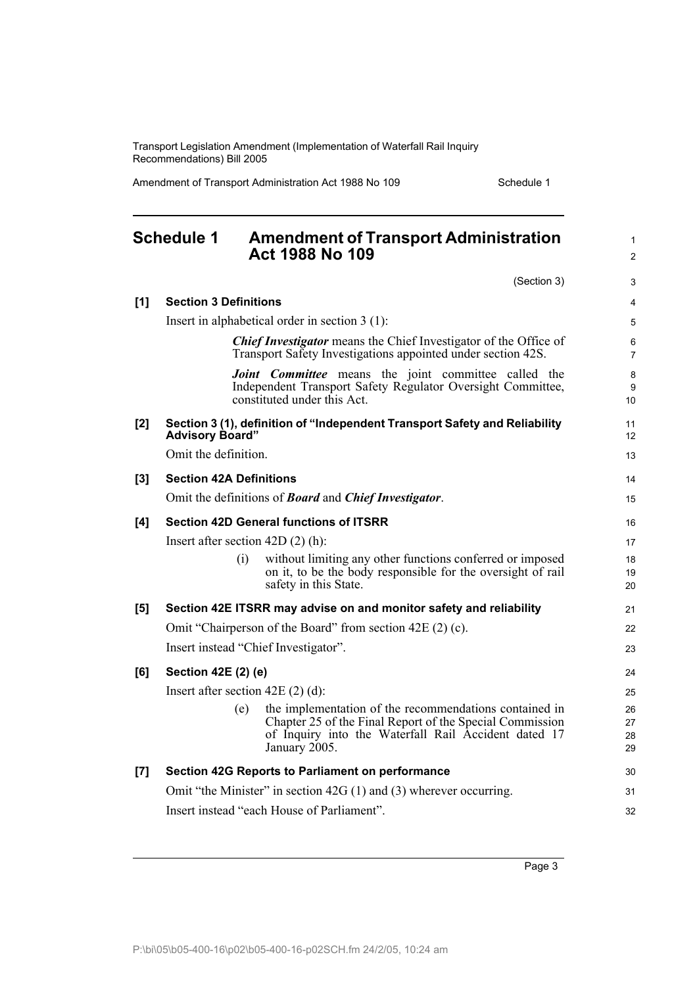Amendment of Transport Administration Act 1988 No 109 Schedule 1

<span id="page-8-0"></span>

|       | <b>Schedule 1</b>                  | <b>Amendment of Transport Administration</b><br><b>Act 1988 No 109</b>                                                                                                                      | 1<br>$\overline{2}$  |
|-------|------------------------------------|---------------------------------------------------------------------------------------------------------------------------------------------------------------------------------------------|----------------------|
|       |                                    | (Section 3)                                                                                                                                                                                 | 3                    |
| [1]   | <b>Section 3 Definitions</b>       |                                                                                                                                                                                             | 4                    |
|       |                                    | Insert in alphabetical order in section $3(1)$ :                                                                                                                                            | 5                    |
|       |                                    | <b>Chief Investigator</b> means the Chief Investigator of the Office of<br>Transport Safety Investigations appointed under section 42S.                                                     | 6<br>$\overline{7}$  |
|       |                                    | <b>Joint Committee</b> means the joint committee called the<br>Independent Transport Safety Regulator Oversight Committee,<br>constituted under this Act.                                   | 8<br>9<br>10         |
| [2]   | <b>Advisory Board"</b>             | Section 3 (1), definition of "Independent Transport Safety and Reliability                                                                                                                  | 11<br>12             |
|       | Omit the definition.               |                                                                                                                                                                                             | 13                   |
| [3]   | <b>Section 42A Definitions</b>     |                                                                                                                                                                                             | 14                   |
|       |                                    | Omit the definitions of <b>Board</b> and <b>Chief Investigator</b> .                                                                                                                        | 15                   |
| [4]   |                                    | <b>Section 42D General functions of ITSRR</b>                                                                                                                                               | 16                   |
|       | Insert after section $42D(2)$ (h): |                                                                                                                                                                                             | 17                   |
|       | (i)                                | without limiting any other functions conferred or imposed<br>on it, to be the body responsible for the oversight of rail<br>safety in this State.                                           | 18<br>19<br>20       |
| [5]   |                                    | Section 42E ITSRR may advise on and monitor safety and reliability                                                                                                                          | 21                   |
|       |                                    | Omit "Chairperson of the Board" from section 42E (2) (c).                                                                                                                                   | 22                   |
|       |                                    | Insert instead "Chief Investigator".                                                                                                                                                        | 23                   |
| [6]   | Section 42E (2) (e)                |                                                                                                                                                                                             | 24                   |
|       | Insert after section $42E(2)(d)$ : |                                                                                                                                                                                             | 25                   |
|       | (e)                                | the implementation of the recommendations contained in<br>Chapter 25 of the Final Report of the Special Commission<br>of Inquiry into the Waterfall Rail Accident dated 17<br>January 2005. | 26<br>27<br>28<br>29 |
| $[7]$ |                                    | Section 42G Reports to Parliament on performance                                                                                                                                            | 30                   |
|       |                                    | Omit "the Minister" in section $42G(1)$ and (3) wherever occurring.                                                                                                                         | 31                   |
|       |                                    | Insert instead "each House of Parliament".                                                                                                                                                  | 32                   |
|       |                                    |                                                                                                                                                                                             |                      |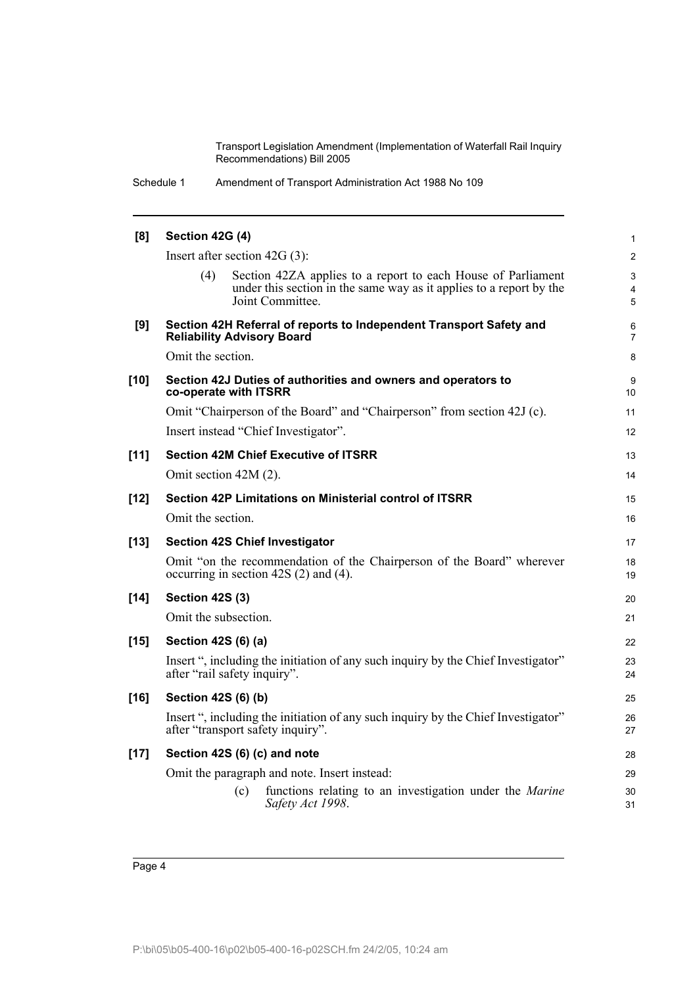| [8]    | Section 42G (4)                                                                                                                                                | 1                   |
|--------|----------------------------------------------------------------------------------------------------------------------------------------------------------------|---------------------|
|        | Insert after section $42G(3)$ :                                                                                                                                | $\overline{c}$      |
|        | Section 42ZA applies to a report to each House of Parliament<br>(4)<br>under this section in the same way as it applies to a report by the<br>Joint Committee. | 3<br>4<br>5         |
| [9]    | Section 42H Referral of reports to Independent Transport Safety and<br><b>Reliability Advisory Board</b>                                                       | 6<br>$\overline{7}$ |
|        | Omit the section.                                                                                                                                              | 8                   |
| $[10]$ | Section 42J Duties of authorities and owners and operators to<br>co-operate with ITSRR                                                                         | 9<br>10             |
|        | Omit "Chairperson of the Board" and "Chairperson" from section 42J (c).                                                                                        | 11                  |
|        | Insert instead "Chief Investigator".                                                                                                                           | 12                  |
| $[11]$ | <b>Section 42M Chief Executive of ITSRR</b>                                                                                                                    | 13                  |
|        | Omit section 42M (2).                                                                                                                                          | 14                  |
| $[12]$ | Section 42P Limitations on Ministerial control of ITSRR                                                                                                        | 15                  |
|        | Omit the section.                                                                                                                                              | 16                  |
| $[13]$ | <b>Section 42S Chief Investigator</b>                                                                                                                          | 17                  |
|        | Omit "on the recommendation of the Chairperson of the Board" wherever<br>occurring in section 42S (2) and (4).                                                 | 18<br>19            |
| $[14]$ | <b>Section 42S (3)</b>                                                                                                                                         | 20                  |
|        | Omit the subsection.                                                                                                                                           | 21                  |
| $[15]$ | Section 42S (6) (a)                                                                                                                                            | 22                  |
|        | Insert ", including the initiation of any such inquiry by the Chief Investigator"<br>after "rail safety inquiry".                                              | 23<br>24            |
| $[16]$ | Section 42S (6) (b)                                                                                                                                            | 25                  |
|        | Insert ", including the initiation of any such inquiry by the Chief Investigator"<br>after "transport safety inquiry".                                         | 26<br>27            |
| $[17]$ | Section 42S (6) (c) and note                                                                                                                                   | 28                  |
|        | Omit the paragraph and note. Insert instead:                                                                                                                   | 29                  |
|        | functions relating to an investigation under the <i>Marine</i><br>(c)<br>Safety Act 1998.                                                                      | 30<br>31            |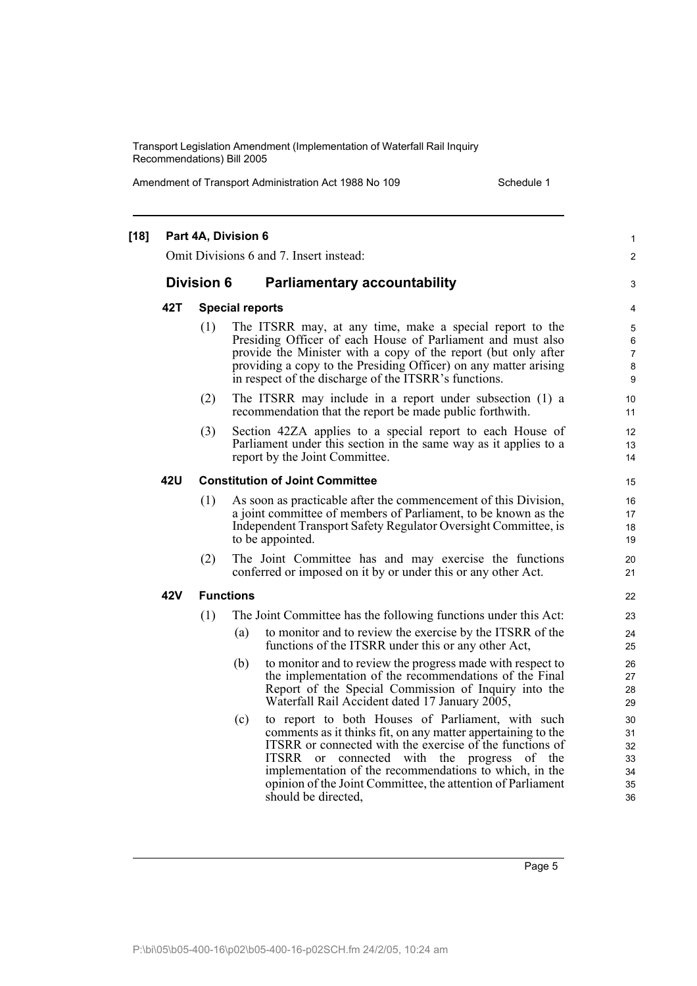Amendment of Transport Administration Act 1988 No 109 Schedule 1

| $[18]$ |     | Part 4A, Division 6 |                        | Omit Divisions 6 and 7. Insert instead:                                                                                                                                                                                                                                                                                                                                      | $\mathbf{1}$<br>$\overline{2}$         |
|--------|-----|---------------------|------------------------|------------------------------------------------------------------------------------------------------------------------------------------------------------------------------------------------------------------------------------------------------------------------------------------------------------------------------------------------------------------------------|----------------------------------------|
|        |     | <b>Division 6</b>   |                        | <b>Parliamentary accountability</b>                                                                                                                                                                                                                                                                                                                                          | 3                                      |
|        | 42T |                     | <b>Special reports</b> |                                                                                                                                                                                                                                                                                                                                                                              | 4                                      |
|        |     | (1)                 |                        | The ITSRR may, at any time, make a special report to the<br>Presiding Officer of each House of Parliament and must also<br>provide the Minister with a copy of the report (but only after<br>providing a copy to the Presiding Officer) on any matter arising<br>in respect of the discharge of the ITSRR's functions.                                                       | 5<br>6<br>$\overline{7}$<br>8<br>9     |
|        |     | (2)                 |                        | The ITSRR may include in a report under subsection (1) a<br>recommendation that the report be made public forthwith.                                                                                                                                                                                                                                                         | 10<br>11                               |
|        |     | (3)                 |                        | Section 42ZA applies to a special report to each House of<br>Parliament under this section in the same way as it applies to a<br>report by the Joint Committee.                                                                                                                                                                                                              | 12<br>13<br>14                         |
|        | 42U |                     |                        | <b>Constitution of Joint Committee</b>                                                                                                                                                                                                                                                                                                                                       | 15                                     |
|        |     | (1)                 |                        | As soon as practicable after the commencement of this Division,<br>a joint committee of members of Parliament, to be known as the<br>Independent Transport Safety Regulator Oversight Committee, is<br>to be appointed.                                                                                                                                                      | 16<br>17<br>18<br>19                   |
|        |     | (2)                 |                        | The Joint Committee has and may exercise the functions<br>conferred or imposed on it by or under this or any other Act.                                                                                                                                                                                                                                                      | 20<br>21                               |
|        | 42V |                     | <b>Functions</b>       |                                                                                                                                                                                                                                                                                                                                                                              | 22                                     |
|        |     | (1)                 |                        | The Joint Committee has the following functions under this Act:                                                                                                                                                                                                                                                                                                              | 23                                     |
|        |     |                     | (a)                    | to monitor and to review the exercise by the ITSRR of the<br>functions of the ITSRR under this or any other Act,                                                                                                                                                                                                                                                             | 24<br>25                               |
|        |     |                     | (b)                    | to monitor and to review the progress made with respect to<br>the implementation of the recommendations of the Final<br>Report of the Special Commission of Inquiry into the<br>Waterfall Rail Accident dated 17 January 2005,                                                                                                                                               | 26<br>27<br>28<br>29                   |
|        |     |                     | (c)                    | to report to both Houses of Parliament, with such<br>comments as it thinks fit, on any matter appertaining to the<br>ITSRR or connected with the exercise of the functions of<br>ITSRR or connected with the progress of the<br>implementation of the recommendations to which, in the<br>opinion of the Joint Committee, the attention of Parliament<br>should be directed. | 30<br>31<br>32<br>33<br>34<br>35<br>36 |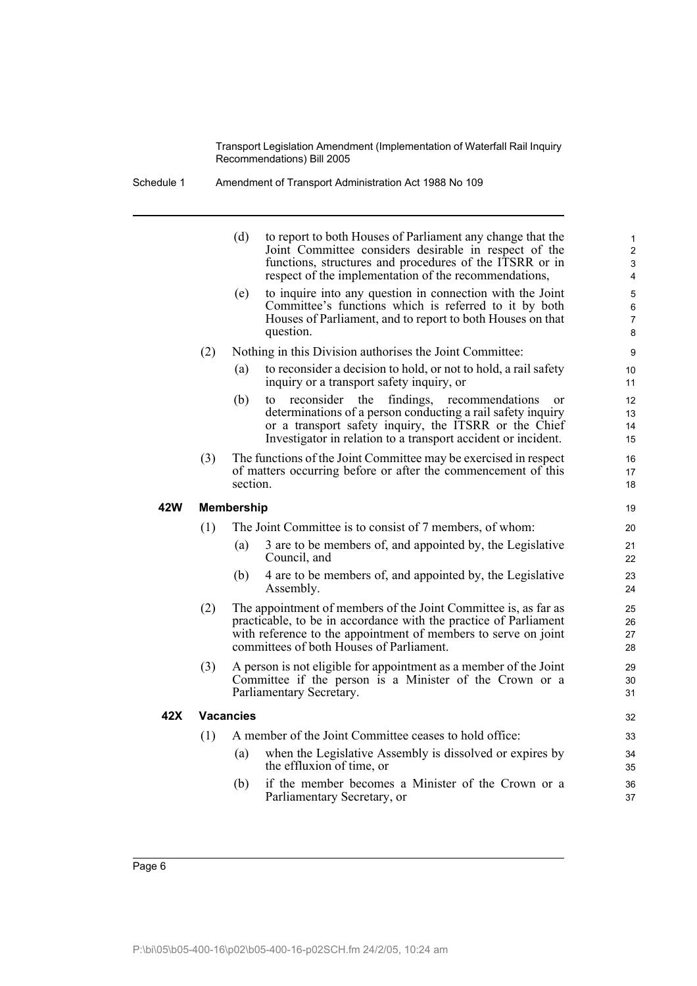Schedule 1 Amendment of Transport Administration Act 1988 No 109

|     |     | (d)               | to report to both Houses of Parliament any change that the<br>Joint Committee considers desirable in respect of the<br>functions, structures and procedures of the ITSRR or in<br>respect of the implementation of the recommendations,                           | $\mathbf{1}$<br>$\overline{2}$<br>3<br>$\overline{4}$ |
|-----|-----|-------------------|-------------------------------------------------------------------------------------------------------------------------------------------------------------------------------------------------------------------------------------------------------------------|-------------------------------------------------------|
|     |     | (e)               | to inquire into any question in connection with the Joint<br>Committee's functions which is referred to it by both<br>Houses of Parliament, and to report to both Houses on that<br>question.                                                                     | $\overline{5}$<br>6<br>$\overline{7}$<br>8            |
|     | (2) |                   | Nothing in this Division authorises the Joint Committee:                                                                                                                                                                                                          | 9                                                     |
|     |     | (a)               | to reconsider a decision to hold, or not to hold, a rail safety<br>inquiry or a transport safety inquiry, or                                                                                                                                                      | 10<br>11                                              |
|     |     | (b)               | reconsider<br>the<br>findings,<br>recommendations<br>to<br><sub>or</sub><br>determinations of a person conducting a rail safety inquiry<br>or a transport safety inquiry, the ITSRR or the Chief<br>Investigator in relation to a transport accident or incident. | 12<br>13<br>14<br>15                                  |
|     | (3) | section.          | The functions of the Joint Committee may be exercised in respect<br>of matters occurring before or after the commencement of this                                                                                                                                 | 16<br>17<br>18                                        |
| 42W |     | <b>Membership</b> |                                                                                                                                                                                                                                                                   | 19                                                    |
|     | (1) |                   | The Joint Committee is to consist of 7 members, of whom:                                                                                                                                                                                                          | 20                                                    |
|     |     | (a)               | 3 are to be members of, and appointed by, the Legislative<br>Council, and                                                                                                                                                                                         | 21<br>22                                              |
|     |     | (b)               | 4 are to be members of, and appointed by, the Legislative<br>Assembly.                                                                                                                                                                                            | 23<br>24                                              |
|     | (2) |                   | The appointment of members of the Joint Committee is, as far as<br>practicable, to be in accordance with the practice of Parliament<br>with reference to the appointment of members to serve on joint<br>committees of both Houses of Parliament.                 | 25<br>26<br>27<br>28                                  |
|     | (3) |                   | A person is not eligible for appointment as a member of the Joint<br>Committee if the person is a Minister of the Crown or a<br>Parliamentary Secretary.                                                                                                          | 29<br>30<br>31                                        |
| 42X |     | <b>Vacancies</b>  |                                                                                                                                                                                                                                                                   | 32                                                    |
|     | (1) |                   | A member of the Joint Committee ceases to hold office:                                                                                                                                                                                                            | 33                                                    |
|     |     | (a)               | when the Legislative Assembly is dissolved or expires by<br>the effluxion of time, or                                                                                                                                                                             | 34<br>35                                              |
|     |     | (b)               | if the member becomes a Minister of the Crown or a<br>Parliamentary Secretary, or                                                                                                                                                                                 | 36<br>37                                              |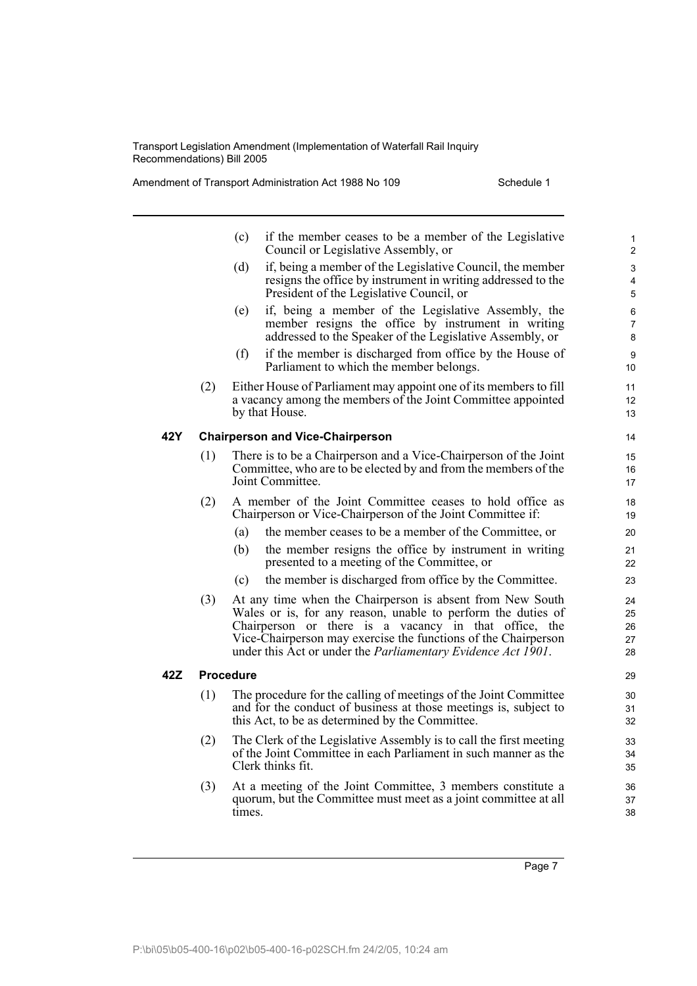Amendment of Transport Administration Act 1988 No 109 Schedule 1

|     |     | (c)<br>if the member ceases to be a member of the Legislative<br>Council or Legislative Assembly, or                                                                                                                                                                                                                         | 1<br>$\overline{2}$         |
|-----|-----|------------------------------------------------------------------------------------------------------------------------------------------------------------------------------------------------------------------------------------------------------------------------------------------------------------------------------|-----------------------------|
|     |     | if, being a member of the Legislative Council, the member<br>(d)<br>resigns the office by instrument in writing addressed to the<br>President of the Legislative Council, or                                                                                                                                                 | 3<br>4<br>5                 |
|     |     | if, being a member of the Legislative Assembly, the<br>(e)<br>member resigns the office by instrument in writing<br>addressed to the Speaker of the Legislative Assembly, or                                                                                                                                                 | 6<br>$\overline{7}$<br>8    |
|     |     | if the member is discharged from office by the House of<br>(f)<br>Parliament to which the member belongs.                                                                                                                                                                                                                    | 9<br>10 <sup>°</sup>        |
|     | (2) | Either House of Parliament may appoint one of its members to fill<br>a vacancy among the members of the Joint Committee appointed<br>by that House.                                                                                                                                                                          | 11<br>12 <sup>2</sup><br>13 |
| 42Y |     | <b>Chairperson and Vice-Chairperson</b>                                                                                                                                                                                                                                                                                      | 14                          |
|     | (1) | There is to be a Chairperson and a Vice-Chairperson of the Joint<br>Committee, who are to be elected by and from the members of the<br>Joint Committee.                                                                                                                                                                      | 15<br>16<br>17              |
|     | (2) | A member of the Joint Committee ceases to hold office as<br>Chairperson or Vice-Chairperson of the Joint Committee if:                                                                                                                                                                                                       | 18<br>19                    |
|     |     | the member ceases to be a member of the Committee, or<br>(a)                                                                                                                                                                                                                                                                 | 20                          |
|     |     | (b)<br>the member resigns the office by instrument in writing<br>presented to a meeting of the Committee, or                                                                                                                                                                                                                 | 21<br>22                    |
|     |     | the member is discharged from office by the Committee.<br>(c)                                                                                                                                                                                                                                                                | 23                          |
|     | (3) | At any time when the Chairperson is absent from New South<br>Wales or is, for any reason, unable to perform the duties of<br>Chairperson or there is a vacancy in that office, the<br>Vice-Chairperson may exercise the functions of the Chairperson<br>under this Act or under the <i>Parliamentary Evidence Act 1901</i> . | 24<br>25<br>26<br>27<br>28  |
| 42Z |     | <b>Procedure</b>                                                                                                                                                                                                                                                                                                             | 29                          |
|     | (1) | The procedure for the calling of meetings of the Joint Committee<br>and for the conduct of business at those meetings is, subject to<br>this Act, to be as determined by the Committee.                                                                                                                                      | 30<br>31<br>32              |
|     | (2) | The Clerk of the Legislative Assembly is to call the first meeting<br>of the Joint Committee in each Parliament in such manner as the<br>Clerk thinks fit.                                                                                                                                                                   | 33<br>34<br>35              |
|     | (3) | At a meeting of the Joint Committee, 3 members constitute a<br>quorum, but the Committee must meet as a joint committee at all<br>times.                                                                                                                                                                                     | 36<br>37<br>38              |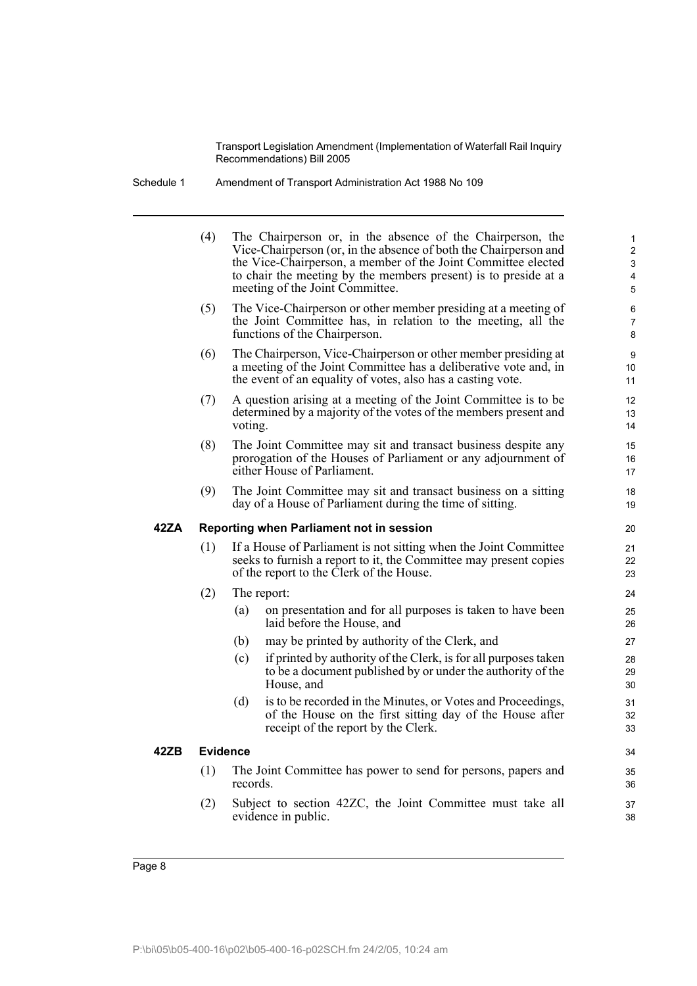Schedule 1 Amendment of Transport Administration Act 1988 No 109

|      | (4)             |          | The Chairperson or, in the absence of the Chairperson, the<br>Vice-Chairperson (or, in the absence of both the Chairperson and<br>the Vice-Chairperson, a member of the Joint Committee elected<br>to chair the meeting by the members present) is to preside at a<br>meeting of the Joint Committee. | $\mathbf{1}$<br>$\overline{c}$<br>3<br>4<br>$\overline{5}$ |
|------|-----------------|----------|-------------------------------------------------------------------------------------------------------------------------------------------------------------------------------------------------------------------------------------------------------------------------------------------------------|------------------------------------------------------------|
|      | (5)             |          | The Vice-Chairperson or other member presiding at a meeting of<br>the Joint Committee has, in relation to the meeting, all the<br>functions of the Chairperson.                                                                                                                                       | 6<br>$\overline{7}$<br>8                                   |
|      | (6)             |          | The Chairperson, Vice-Chairperson or other member presiding at<br>a meeting of the Joint Committee has a deliberative vote and, in<br>the event of an equality of votes, also has a casting vote.                                                                                                     | 9<br>10<br>11                                              |
|      | (7)             | voting.  | A question arising at a meeting of the Joint Committee is to be<br>determined by a majority of the votes of the members present and                                                                                                                                                                   | 12<br>13<br>14                                             |
|      | (8)             |          | The Joint Committee may sit and transact business despite any<br>prorogation of the Houses of Parliament or any adjournment of<br>either House of Parliament.                                                                                                                                         | 15<br>16<br>17                                             |
|      | (9)             |          | The Joint Committee may sit and transact business on a sitting<br>day of a House of Parliament during the time of sitting.                                                                                                                                                                            | 18<br>19                                                   |
| 42ZA |                 |          | Reporting when Parliament not in session                                                                                                                                                                                                                                                              | 20                                                         |
|      | (1)             |          | If a House of Parliament is not sitting when the Joint Committee<br>seeks to furnish a report to it, the Committee may present copies<br>of the report to the Clerk of the House.                                                                                                                     | 21<br>22<br>23                                             |
|      | (2)             |          | The report:                                                                                                                                                                                                                                                                                           | 24                                                         |
|      |                 | (a)      | on presentation and for all purposes is taken to have been<br>laid before the House, and                                                                                                                                                                                                              | 25<br>26                                                   |
|      |                 | (b)      | may be printed by authority of the Clerk, and                                                                                                                                                                                                                                                         | 27                                                         |
|      |                 | (c)      | if printed by authority of the Clerk, is for all purposes taken<br>to be a document published by or under the authority of the<br>House, and                                                                                                                                                          | 28<br>29<br>30                                             |
|      |                 | (d)      | is to be recorded in the Minutes, or Votes and Proceedings,<br>of the House on the first sitting day of the House after<br>receipt of the report by the Clerk.                                                                                                                                        | 31<br>32<br>33                                             |
| 42ZB | <b>Evidence</b> |          |                                                                                                                                                                                                                                                                                                       | 34                                                         |
|      | (1)             | records. | The Joint Committee has power to send for persons, papers and                                                                                                                                                                                                                                         | 35<br>36                                                   |
|      | (2)             |          | Subject to section 42ZC, the Joint Committee must take all<br>evidence in public.                                                                                                                                                                                                                     | 37<br>38                                                   |
|      |                 |          |                                                                                                                                                                                                                                                                                                       |                                                            |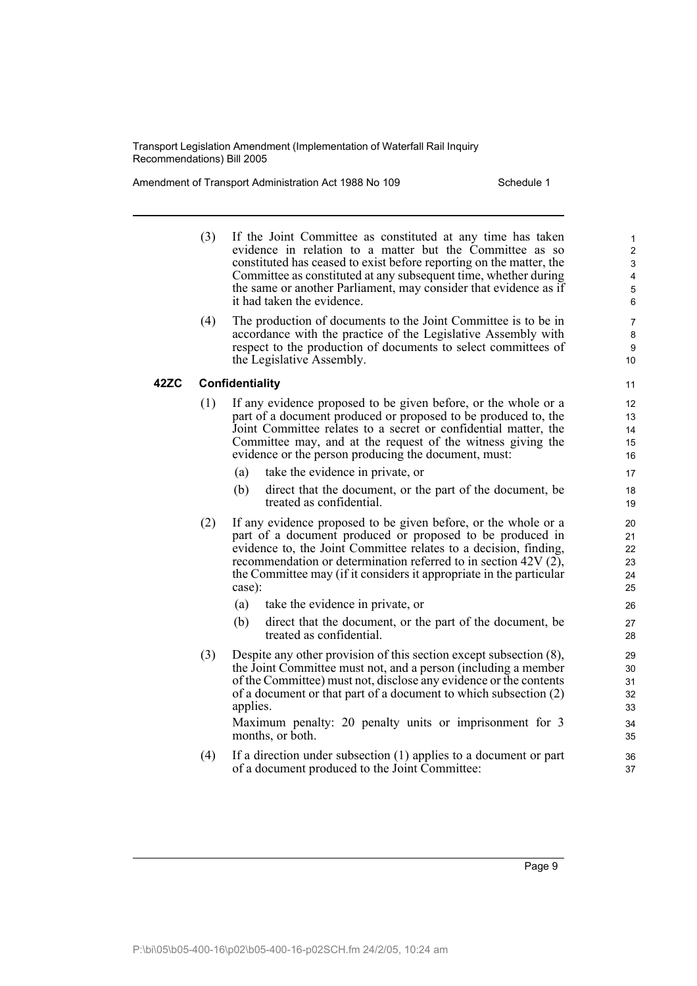Amendment of Transport Administration Act 1988 No 109 Schedule 1

(3) If the Joint Committee as constituted at any time has taken evidence in relation to a matter but the Committee as so constituted has ceased to exist before reporting on the matter, the Committee as constituted at any subsequent time, whether during the same or another Parliament, may consider that evidence as if it had taken the evidence. (4) The production of documents to the Joint Committee is to be in accordance with the practice of the Legislative Assembly with respect to the production of documents to select committees of the Legislative Assembly. **42ZC Confidentiality** (1) If any evidence proposed to be given before, or the whole or a part of a document produced or proposed to be produced to, the Joint Committee relates to a secret or confidential matter, the Committee may, and at the request of the witness giving the evidence or the person producing the document, must: (a) take the evidence in private, or (b) direct that the document, or the part of the document, be treated as confidential. (2) If any evidence proposed to be given before, or the whole or a part of a document produced or proposed to be produced in evidence to, the Joint Committee relates to a decision, finding, recommendation or determination referred to in section 42V (2), the Committee may (if it considers it appropriate in the particular case): (a) take the evidence in private, or (b) direct that the document, or the part of the document, be treated as confidential. (3) Despite any other provision of this section except subsection (8), the Joint Committee must not, and a person (including a member of the Committee) must not, disclose any evidence or the contents of a document or that part of a document to which subsection (2) applies. Maximum penalty: 20 penalty units or imprisonment for 3 months, or both. (4) If a direction under subsection (1) applies to a document or part of a document produced to the Joint Committee: 1 2 3 4 5 6 7 8  $\alpha$ 10 11 12 13 14 15 16 17 18 19 20 21 22 23 24 25 26 27 28 29  $30$ 31 32 33 34 35 36 37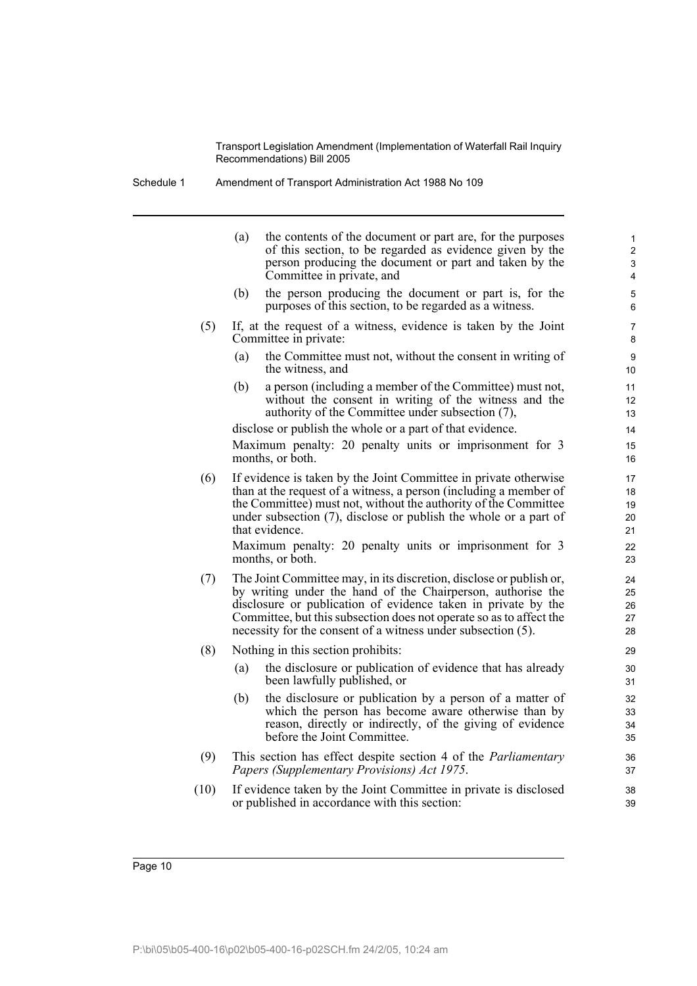Schedule 1 Amendment of Transport Administration Act 1988 No 109

| $\mathbf{1}$<br>$\overline{2}$<br>3<br>4 | (a)<br>the contents of the document or part are, for the purposes<br>of this section, to be regarded as evidence given by the<br>person producing the document or part and taken by the<br>Committee in private, and                                                                                                                       |      |
|------------------------------------------|--------------------------------------------------------------------------------------------------------------------------------------------------------------------------------------------------------------------------------------------------------------------------------------------------------------------------------------------|------|
| 5<br>6                                   | the person producing the document or part is, for the<br>(b)<br>purposes of this section, to be regarded as a witness.                                                                                                                                                                                                                     |      |
| 7<br>8                                   | If, at the request of a witness, evidence is taken by the Joint<br>Committee in private:                                                                                                                                                                                                                                                   | (5)  |
| 9<br>10                                  | the Committee must not, without the consent in writing of<br>(a)<br>the witness, and                                                                                                                                                                                                                                                       |      |
| 11<br>12<br>13                           | (b)<br>a person (including a member of the Committee) must not,<br>without the consent in writing of the witness and the<br>authority of the Committee under subsection (7),                                                                                                                                                               |      |
| 14                                       | disclose or publish the whole or a part of that evidence.                                                                                                                                                                                                                                                                                  |      |
| 15<br>16                                 | Maximum penalty: 20 penalty units or imprisonment for 3<br>months, or both.                                                                                                                                                                                                                                                                |      |
| 17<br>18<br>19<br>20<br>21               | If evidence is taken by the Joint Committee in private otherwise<br>than at the request of a witness, a person (including a member of<br>the Committee) must not, without the authority of the Committee<br>under subsection (7), disclose or publish the whole or a part of<br>that evidence.                                             | (6)  |
| 22<br>23                                 | Maximum penalty: 20 penalty units or imprisonment for 3<br>months, or both.                                                                                                                                                                                                                                                                |      |
| 24<br>25<br>26<br>27<br>28               | The Joint Committee may, in its discretion, disclose or publish or,<br>by writing under the hand of the Chairperson, authorise the<br>disclosure or publication of evidence taken in private by the<br>Committee, but this subsection does not operate so as to affect the<br>necessity for the consent of a witness under subsection (5). | (7)  |
| 29                                       | Nothing in this section prohibits:                                                                                                                                                                                                                                                                                                         | (8)  |
| 30<br>31                                 | (a)<br>the disclosure or publication of evidence that has already<br>been lawfully published, or                                                                                                                                                                                                                                           |      |
| 32<br>33<br>34<br>35                     | the disclosure or publication by a person of a matter of<br>(b)<br>which the person has become aware otherwise than by<br>reason, directly or indirectly, of the giving of evidence<br>before the Joint Committee.                                                                                                                         |      |
| 36<br>37                                 | This section has effect despite section 4 of the <i>Parliamentary</i><br>Papers (Supplementary Provisions) Act 1975.                                                                                                                                                                                                                       | (9)  |
| 38<br>39                                 | If evidence taken by the Joint Committee in private is disclosed<br>or published in accordance with this section:                                                                                                                                                                                                                          | (10) |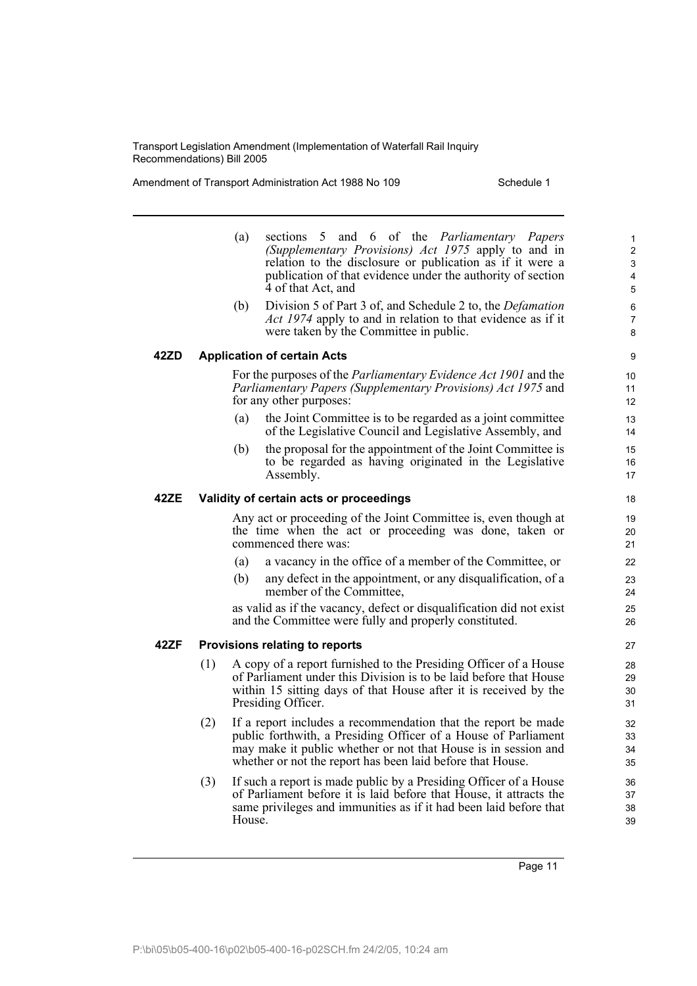Amendment of Transport Administration Act 1988 No 109 Schedule 1

- (a) sections 5 and 6 of the *Parliamentary Papers (Supplementary Provisions) Act 1975* apply to and in relation to the disclosure or publication as if it were a publication of that evidence under the authority of section 4 of that Act, and
- (b) Division 5 of Part 3 of, and Schedule 2 to, the *Defamation Act 1974* apply to and in relation to that evidence as if it were taken by the Committee in public.

### **42ZD Application of certain Acts**

For the purposes of the *Parliamentary Evidence Act 1901* and the *Parliamentary Papers (Supplementary Provisions) Act 1975* and for any other purposes:

- (a) the Joint Committee is to be regarded as a joint committee of the Legislative Council and Legislative Assembly, and
- (b) the proposal for the appointment of the Joint Committee is to be regarded as having originated in the Legislative Assembly.

### **42ZE Validity of certain acts or proceedings**

Any act or proceeding of the Joint Committee is, even though at the time when the act or proceeding was done, taken or commenced there was:

- (a) a vacancy in the office of a member of the Committee, or
- (b) any defect in the appointment, or any disqualification, of a member of the Committee,

as valid as if the vacancy, defect or disqualification did not exist and the Committee were fully and properly constituted.

### **42ZF Provisions relating to reports**

- (1) A copy of a report furnished to the Presiding Officer of a House of Parliament under this Division is to be laid before that House within 15 sitting days of that House after it is received by the Presiding Officer.
- (2) If a report includes a recommendation that the report be made public forthwith, a Presiding Officer of a House of Parliament may make it public whether or not that House is in session and whether or not the report has been laid before that House.
- (3) If such a report is made public by a Presiding Officer of a House of Parliament before it is laid before that House, it attracts the same privileges and immunities as if it had been laid before that House.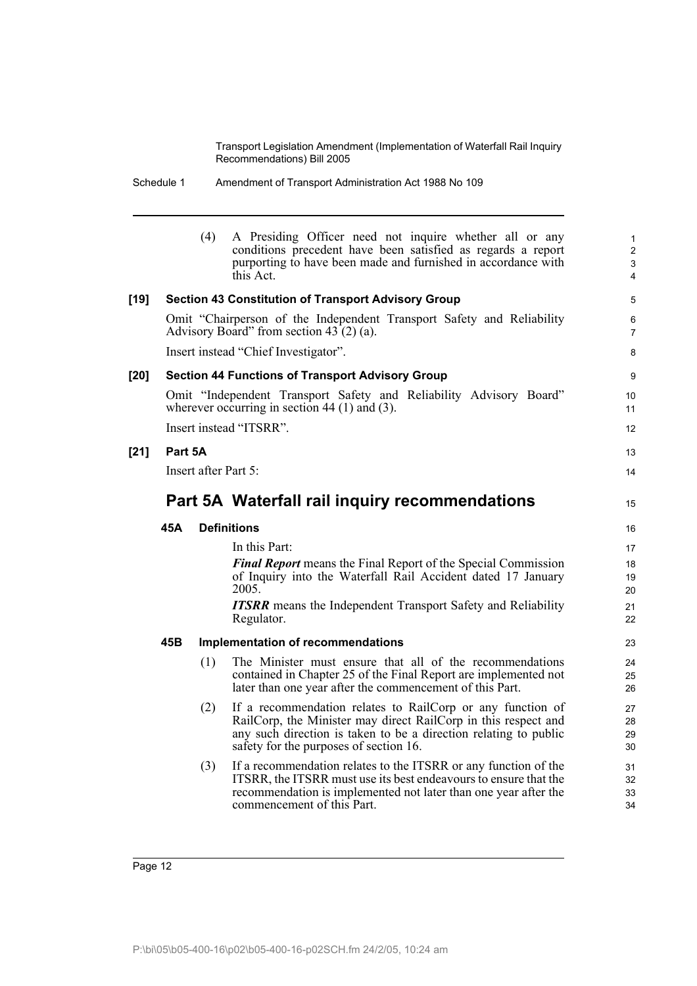| Schedule 1 | Amendment of Transport Administration Act 1988 No 109 |
|------------|-------------------------------------------------------|
|            |                                                       |

|      |         | (4)                  | A Presiding Officer need not inquire whether all or any<br>conditions precedent have been satisfied as regards a report<br>purporting to have been made and furnished in accordance with<br>this Act.                                      | 1<br>$\overline{2}$<br>3<br>4 |
|------|---------|----------------------|--------------------------------------------------------------------------------------------------------------------------------------------------------------------------------------------------------------------------------------------|-------------------------------|
| [19] |         |                      | <b>Section 43 Constitution of Transport Advisory Group</b>                                                                                                                                                                                 | 5                             |
|      |         |                      | Omit "Chairperson of the Independent Transport Safety and Reliability<br>Advisory Board" from section $43(2)(a)$ .                                                                                                                         | 6<br>7                        |
|      |         |                      | Insert instead "Chief Investigator".                                                                                                                                                                                                       | 8                             |
| [20] |         |                      | <b>Section 44 Functions of Transport Advisory Group</b>                                                                                                                                                                                    | 9                             |
|      |         |                      | Omit "Independent Transport Safety and Reliability Advisory Board"<br>wherever occurring in section $44$ (1) and (3).                                                                                                                      | 10<br>11                      |
|      |         |                      | Insert instead "ITSRR".                                                                                                                                                                                                                    | 12                            |
| [21] | Part 5A |                      |                                                                                                                                                                                                                                            | 13                            |
|      |         | Insert after Part 5: |                                                                                                                                                                                                                                            | 14                            |
|      |         |                      | Part 5A Waterfall rail inquiry recommendations                                                                                                                                                                                             | 15                            |
|      | 45A     |                      | <b>Definitions</b>                                                                                                                                                                                                                         | 16                            |
|      |         |                      | In this Part:                                                                                                                                                                                                                              | 17                            |
|      |         |                      | <b>Final Report</b> means the Final Report of the Special Commission<br>of Inquiry into the Waterfall Rail Accident dated 17 January<br>2005.                                                                                              | 18<br>19<br>20                |
|      |         |                      | <b>ITSRR</b> means the Independent Transport Safety and Reliability<br>Regulator.                                                                                                                                                          | 21<br>22                      |
|      | 45B     |                      | Implementation of recommendations                                                                                                                                                                                                          | 23                            |
|      |         | (1)                  | The Minister must ensure that all of the recommendations<br>contained in Chapter 25 of the Final Report are implemented not<br>later than one year after the commencement of this Part.                                                    | 24<br>25<br>26                |
|      |         | (2)                  | If a recommendation relates to RailCorp or any function of<br>RailCorp, the Minister may direct RailCorp in this respect and<br>any such direction is taken to be a direction relating to public<br>safety for the purposes of section 16. | 27<br>28<br>29<br>30          |
|      |         | (3)                  | If a recommendation relates to the ITSRR or any function of the<br>ITSRR, the ITSRR must use its best endeavours to ensure that the<br>recommendation is implemented not later than one year after the<br>commencement of this Part.       | 31<br>32<br>33<br>34          |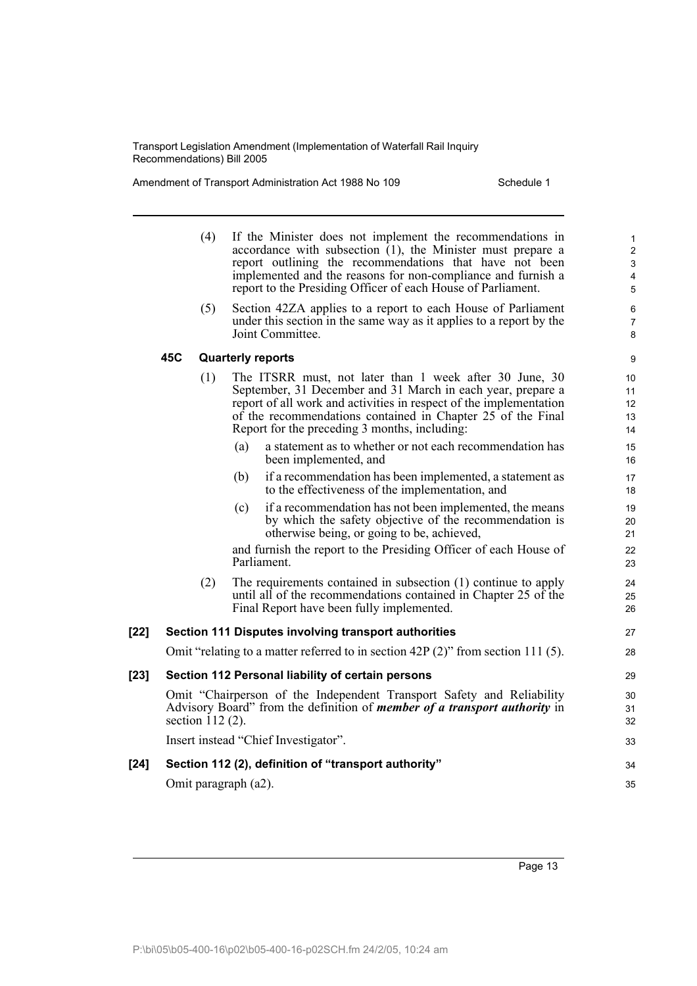Amendment of Transport Administration Act 1988 No 109 Schedule 1

|        |     | (4)                | If the Minister does not implement the recommendations in<br>accordance with subsection $(1)$ , the Minister must prepare a<br>report outlining the recommendations that have not been<br>implemented and the reasons for non-compliance and furnish a<br>report to the Presiding Officer of each House of Parliament. | 1<br>$\overline{2}$<br>3<br>4<br>5 |
|--------|-----|--------------------|------------------------------------------------------------------------------------------------------------------------------------------------------------------------------------------------------------------------------------------------------------------------------------------------------------------------|------------------------------------|
|        |     | (5)                | Section 42ZA applies to a report to each House of Parliament<br>under this section in the same way as it applies to a report by the<br>Joint Committee.                                                                                                                                                                | 6<br>$\overline{7}$<br>8           |
|        | 45C |                    | <b>Quarterly reports</b>                                                                                                                                                                                                                                                                                               | 9                                  |
|        |     | (1)                | The ITSRR must, not later than 1 week after 30 June, 30<br>September, 31 December and 31 March in each year, prepare a<br>report of all work and activities in respect of the implementation<br>of the recommendations contained in Chapter 25 of the Final<br>Report for the preceding 3 months, including:           | 10<br>11<br>12<br>13<br>14         |
|        |     |                    | a statement as to whether or not each recommendation has<br>(a)<br>been implemented, and                                                                                                                                                                                                                               | 15<br>16                           |
|        |     |                    | if a recommendation has been implemented, a statement as<br>(b)<br>to the effectiveness of the implementation, and                                                                                                                                                                                                     | 17<br>18                           |
|        |     |                    | if a recommendation has not been implemented, the means<br>(c)<br>by which the safety objective of the recommendation is<br>otherwise being, or going to be, achieved,                                                                                                                                                 | 19<br>20<br>21                     |
|        |     |                    | and furnish the report to the Presiding Officer of each House of<br>Parliament.                                                                                                                                                                                                                                        | 22<br>23                           |
|        |     | (2)                | The requirements contained in subsection (1) continue to apply<br>until all of the recommendations contained in Chapter 25 of the<br>Final Report have been fully implemented.                                                                                                                                         | 24<br>25<br>26                     |
| $[22]$ |     |                    | <b>Section 111 Disputes involving transport authorities</b>                                                                                                                                                                                                                                                            | 27                                 |
|        |     |                    | Omit "relating to a matter referred to in section 42P $(2)$ " from section 111 (5).                                                                                                                                                                                                                                    | 28                                 |
| $[23]$ |     |                    | Section 112 Personal liability of certain persons                                                                                                                                                                                                                                                                      | 29                                 |
|        |     | section $112(2)$ . | Omit "Chairperson of the Independent Transport Safety and Reliability<br>Advisory Board" from the definition of <i>member of a transport authority</i> in                                                                                                                                                              | 30<br>31<br>32                     |
|        |     |                    | Insert instead "Chief Investigator".                                                                                                                                                                                                                                                                                   | 33                                 |
| $[24]$ |     |                    | Section 112 (2), definition of "transport authority"                                                                                                                                                                                                                                                                   | 34                                 |
|        |     |                    | Omit paragraph (a2).                                                                                                                                                                                                                                                                                                   | 35                                 |
|        |     |                    |                                                                                                                                                                                                                                                                                                                        |                                    |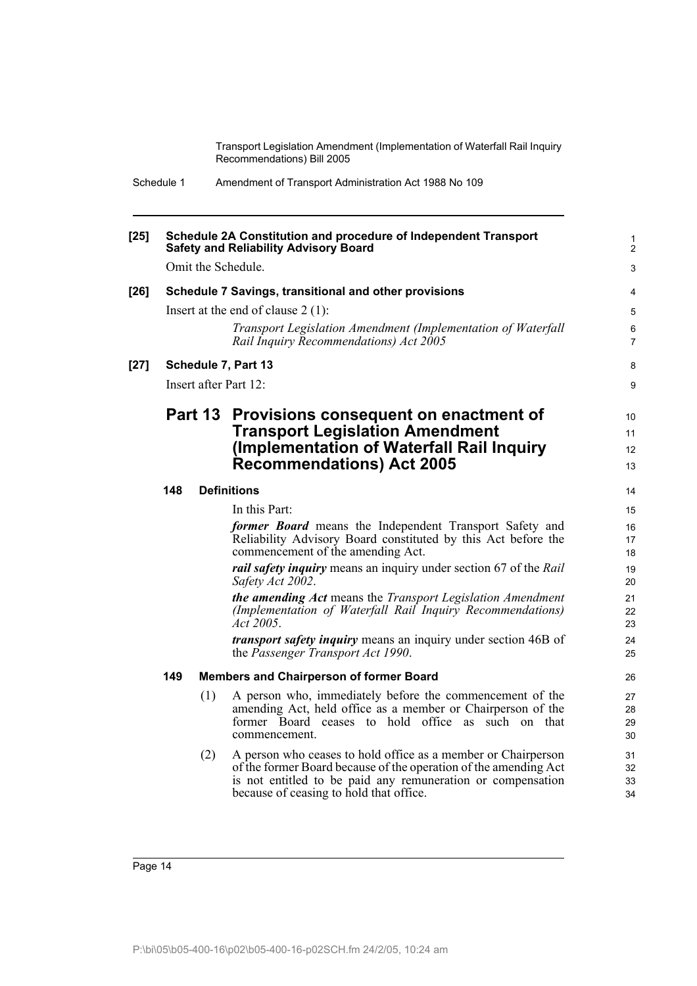| Schedule 1 | Amendment of Transport Administration Act 1988 No 109 |  |
|------------|-------------------------------------------------------|--|
|------------|-------------------------------------------------------|--|

| $[25]$ |     |     | Schedule 2A Constitution and procedure of Independent Transport<br><b>Safety and Reliability Advisory Board</b>                                                                                                                             | 1<br>2               |
|--------|-----|-----|---------------------------------------------------------------------------------------------------------------------------------------------------------------------------------------------------------------------------------------------|----------------------|
|        |     |     | Omit the Schedule.                                                                                                                                                                                                                          | 3                    |
| $[26]$ |     |     | Schedule 7 Savings, transitional and other provisions                                                                                                                                                                                       | 4                    |
|        |     |     | Insert at the end of clause $2(1)$ :                                                                                                                                                                                                        | 5                    |
|        |     |     | Transport Legislation Amendment (Implementation of Waterfall<br>Rail Inquiry Recommendations) Act 2005                                                                                                                                      | 6<br>$\overline{7}$  |
| $[27]$ |     |     | Schedule 7, Part 13                                                                                                                                                                                                                         | 8                    |
|        |     |     | Insert after Part 12:                                                                                                                                                                                                                       | 9                    |
|        |     |     | Part 13 Provisions consequent on enactment of<br><b>Transport Legislation Amendment</b><br>(Implementation of Waterfall Rail Inquiry                                                                                                        | 10<br>11<br>12       |
|        |     |     | <b>Recommendations) Act 2005</b>                                                                                                                                                                                                            | 13                   |
|        | 148 |     | <b>Definitions</b>                                                                                                                                                                                                                          | 14                   |
|        |     |     | In this Part:                                                                                                                                                                                                                               | 15                   |
|        |     |     | former Board means the Independent Transport Safety and<br>Reliability Advisory Board constituted by this Act before the<br>commencement of the amending Act.                                                                               | 16<br>17<br>18       |
|        |     |     | <i>rail safety inquiry</i> means an inquiry under section 67 of the Rail<br>Safety Act 2002.                                                                                                                                                | 19<br>20             |
|        |     |     | <b>the amending Act</b> means the Transport Legislation Amendment<br>(Implementation of Waterfall Rail Inquiry Recommendations)<br><i>Act</i> 2005.                                                                                         | 21<br>22<br>23       |
|        |     |     | <i>transport safety inquiry</i> means an inquiry under section 46B of<br>the Passenger Transport Act 1990.                                                                                                                                  | 24<br>25             |
|        | 149 |     | <b>Members and Chairperson of former Board</b>                                                                                                                                                                                              | 26                   |
|        |     | (1) | A person who, immediately before the commencement of the<br>amending Act, held office as a member or Chairperson of the<br>former Board ceases to hold office as such on that<br>commencement.                                              | 27<br>28<br>29<br>30 |
|        |     | (2) | A person who ceases to hold office as a member or Chairperson<br>of the former Board because of the operation of the amending Act<br>is not entitled to be paid any remuneration or compensation<br>because of ceasing to hold that office. | 31<br>32<br>33<br>34 |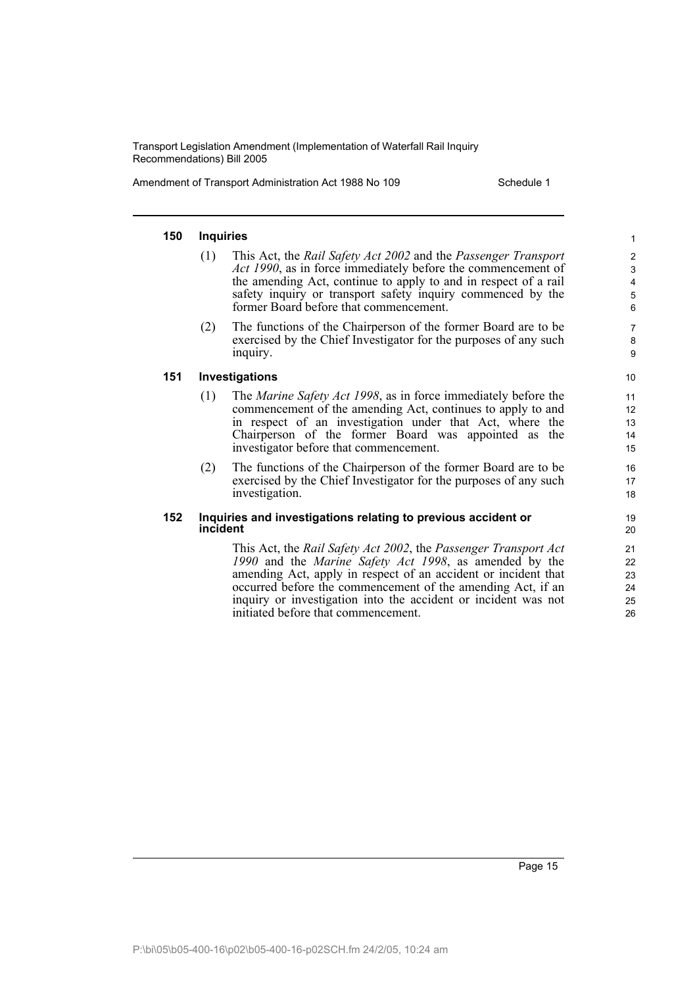Amendment of Transport Administration Act 1988 No 109 Schedule 1

### **150 Inquiries**

- (1) This Act, the *Rail Safety Act 2002* and the *Passenger Transport Act 1990*, as in force immediately before the commencement of the amending Act, continue to apply to and in respect of a rail safety inquiry or transport safety inquiry commenced by the former Board before that commencement.
- (2) The functions of the Chairperson of the former Board are to be exercised by the Chief Investigator for the purposes of any such inquiry.

**151 Investigations**

- (1) The *Marine Safety Act 1998*, as in force immediately before the commencement of the amending Act, continues to apply to and in respect of an investigation under that Act, where the Chairperson of the former Board was appointed as the investigator before that commencement.
- (2) The functions of the Chairperson of the former Board are to be exercised by the Chief Investigator for the purposes of any such investigation.

#### **152 Inquiries and investigations relating to previous accident or incident**

This Act, the *Rail Safety Act 2002*, the *Passenger Transport Act 1990* and the *Marine Safety Act 1998*, as amended by the amending Act, apply in respect of an accident or incident that occurred before the commencement of the amending Act, if an inquiry or investigation into the accident or incident was not initiated before that commencement.

26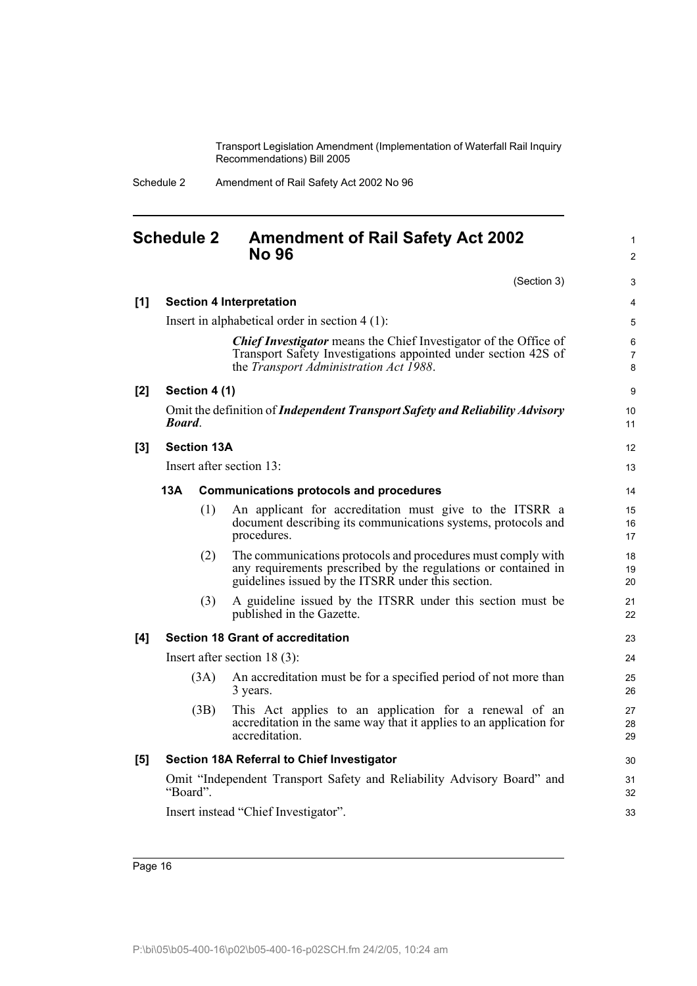> 1 2

| Schedule 2 | Amendment of Rail Safety Act 2002 No 96 |
|------------|-----------------------------------------|
|------------|-----------------------------------------|

## <span id="page-21-0"></span>**Schedule 2 Amendment of Rail Safety Act 2002 No 96**

|     |                    | (Section 3)                                                                                                                                                                          | 3                              |
|-----|--------------------|--------------------------------------------------------------------------------------------------------------------------------------------------------------------------------------|--------------------------------|
| [1] |                    | <b>Section 4 Interpretation</b>                                                                                                                                                      | 4                              |
|     |                    | Insert in alphabetical order in section $4(1)$ :                                                                                                                                     | 5                              |
|     |                    | <b>Chief Investigator</b> means the Chief Investigator of the Office of<br>Transport Safety Investigations appointed under section 42S of<br>the Transport Administration Act 1988.  | $\,6\,$<br>$\overline{7}$<br>8 |
| [2] | Section 4 (1)      |                                                                                                                                                                                      | 9                              |
|     | <b>Board</b>       | Omit the definition of Independent Transport Safety and Reliability Advisory                                                                                                         | 10<br>11                       |
| [3] | <b>Section 13A</b> |                                                                                                                                                                                      | 12                             |
|     |                    | Insert after section 13:                                                                                                                                                             | 13                             |
|     | 13A                | <b>Communications protocols and procedures</b>                                                                                                                                       | 14                             |
|     | (1)                | An applicant for accreditation must give to the ITSRR a<br>document describing its communications systems, protocols and<br>procedures.                                              | 15<br>16<br>17                 |
|     | (2)                | The communications protocols and procedures must comply with<br>any requirements prescribed by the regulations or contained in<br>guidelines issued by the ITSRR under this section. | 18<br>19<br>20                 |
|     | (3)                | A guideline issued by the ITSRR under this section must be<br>published in the Gazette.                                                                                              | 21<br>22                       |
| [4] |                    | <b>Section 18 Grant of accreditation</b>                                                                                                                                             | 23                             |
|     |                    | Insert after section $18(3)$ :                                                                                                                                                       | 24                             |
|     | (3A)               | An accreditation must be for a specified period of not more than<br>3 years.                                                                                                         | 25<br>26                       |
|     | (3B)               | This Act applies to an application for a renewal of an<br>accreditation in the same way that it applies to an application for<br>accreditation.                                      | 27<br>28<br>29                 |
| [5] |                    | Section 18A Referral to Chief Investigator                                                                                                                                           | 30                             |
|     | "Board".           | Omit "Independent Transport Safety and Reliability Advisory Board" and                                                                                                               | 31<br>32                       |
|     |                    | Insert instead "Chief Investigator".                                                                                                                                                 | 33                             |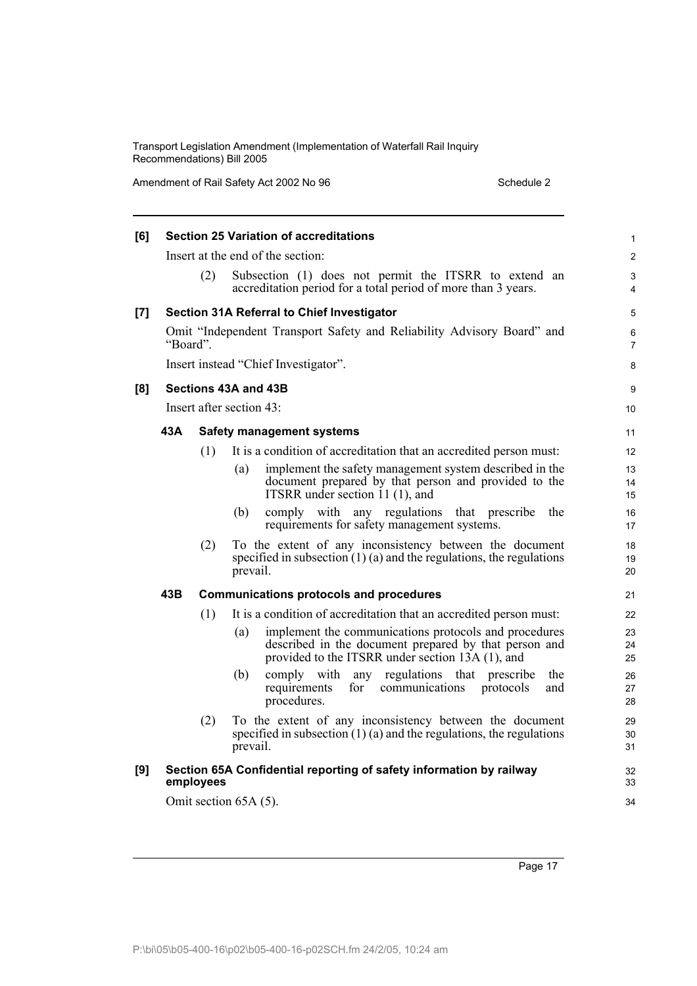Amendment of Rail Safety Act 2002 No 96 Schedule 2 Schedule 2

| [6]   |          |           | <b>Section 25 Variation of accreditations</b>                                                                                                                             | 1                   |
|-------|----------|-----------|---------------------------------------------------------------------------------------------------------------------------------------------------------------------------|---------------------|
|       |          |           | Insert at the end of the section:                                                                                                                                         | $\overline{2}$      |
|       |          | (2)       | Subsection (1) does not permit the ITSRR to extend an<br>accreditation period for a total period of more than 3 years.                                                    | 3<br>4              |
| $[7]$ |          |           | Section 31A Referral to Chief Investigator                                                                                                                                | 5                   |
|       | "Board". |           | Omit "Independent Transport Safety and Reliability Advisory Board" and                                                                                                    | 6<br>$\overline{7}$ |
|       |          |           | Insert instead "Chief Investigator".                                                                                                                                      | 8                   |
| [8]   |          |           | Sections 43A and 43B                                                                                                                                                      | 9                   |
|       |          |           | Insert after section 43:                                                                                                                                                  | 10                  |
|       | 43A      |           | <b>Safety management systems</b>                                                                                                                                          | 11                  |
|       |          | (1)       | It is a condition of accreditation that an accredited person must:                                                                                                        | 12                  |
|       |          |           | implement the safety management system described in the<br>(a)<br>document prepared by that person and provided to the<br>ITSRR under section 11 (1), and                 | 13<br>14<br>15      |
|       |          |           | comply with any regulations that prescribe<br>(b)<br>the<br>requirements for safety management systems.                                                                   | 16<br>17            |
|       |          | (2)       | To the extent of any inconsistency between the document<br>specified in subsection $(1)$ (a) and the regulations, the regulations<br>prevail.                             | 18<br>19<br>20      |
|       | 43B      |           | <b>Communications protocols and procedures</b>                                                                                                                            | 21                  |
|       |          | (1)       | It is a condition of accreditation that an accredited person must:                                                                                                        | 22                  |
|       |          |           | implement the communications protocols and procedures<br>(a)<br>described in the document prepared by that person and<br>provided to the ITSRR under section 13A (1), and | 23<br>24<br>25      |
|       |          |           | regulations that prescribe<br>(b)<br>comply with<br>any<br>the<br>communications<br>for<br>protocols<br>requirements<br>and<br>procedures.                                | 26<br>27<br>28      |
|       |          | (2)       | To the extent of any inconsistency between the document<br>specified in subsection $(1)$ (a) and the regulations, the regulations<br>prevail.                             | 29<br>30<br>31      |
| [9]   |          | employees | Section 65A Confidential reporting of safety information by railway                                                                                                       | 32<br>33            |
|       |          |           | Omit section 65A (5).                                                                                                                                                     | 34                  |
|       |          |           |                                                                                                                                                                           |                     |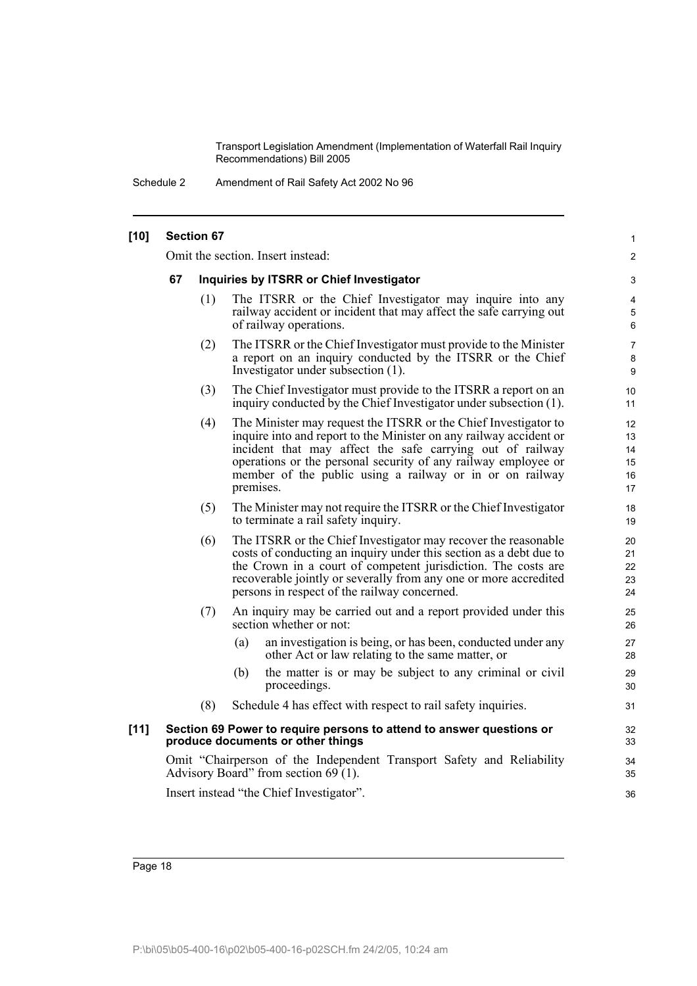Schedule 2 Amendment of Rail Safety Act 2002 No 96

| $[10]$ |                                   | <b>Section 67</b> |                                                                                                                                                                                                                                                                                                                                               | $\mathbf{1}$                     |  |
|--------|-----------------------------------|-------------------|-----------------------------------------------------------------------------------------------------------------------------------------------------------------------------------------------------------------------------------------------------------------------------------------------------------------------------------------------|----------------------------------|--|
|        | Omit the section. Insert instead: |                   |                                                                                                                                                                                                                                                                                                                                               |                                  |  |
|        | 67                                |                   | Inquiries by ITSRR or Chief Investigator                                                                                                                                                                                                                                                                                                      | 3                                |  |
|        |                                   | (1)               | The ITSRR or the Chief Investigator may inquire into any<br>railway accident or incident that may affect the safe carrying out<br>of railway operations.                                                                                                                                                                                      | 4<br>5<br>6                      |  |
|        |                                   | (2)               | The ITSRR or the Chief Investigator must provide to the Minister<br>a report on an inquiry conducted by the ITSRR or the Chief<br>Investigator under subsection (1).                                                                                                                                                                          | $\overline{7}$<br>8<br>9         |  |
|        |                                   | (3)               | The Chief Investigator must provide to the ITSRR a report on an<br>inquiry conducted by the Chief Investigator under subsection (1).                                                                                                                                                                                                          | 10<br>11                         |  |
|        |                                   | (4)               | The Minister may request the ITSRR or the Chief Investigator to<br>inquire into and report to the Minister on any railway accident or<br>incident that may affect the safe carrying out of railway<br>operations or the personal security of any railway employee or<br>member of the public using a railway or in or on railway<br>premises. | 12<br>13<br>14<br>15<br>16<br>17 |  |
|        |                                   | (5)               | The Minister may not require the ITSRR or the Chief Investigator<br>to terminate a rail safety inquiry.                                                                                                                                                                                                                                       | 18<br>19                         |  |
|        |                                   | (6)               | The ITSRR or the Chief Investigator may recover the reasonable<br>costs of conducting an inquiry under this section as a debt due to<br>the Crown in a court of competent jurisdiction. The costs are<br>recoverable jointly or severally from any one or more accredited<br>persons in respect of the railway concerned.                     | 20<br>21<br>22<br>23<br>24       |  |
|        |                                   | (7)               | An inquiry may be carried out and a report provided under this<br>section whether or not:                                                                                                                                                                                                                                                     | 25<br>26                         |  |
|        |                                   |                   | (a)<br>an investigation is being, or has been, conducted under any<br>other Act or law relating to the same matter, or                                                                                                                                                                                                                        | 27<br>28                         |  |
|        |                                   |                   | the matter is or may be subject to any criminal or civil<br>(b)<br>proceedings.                                                                                                                                                                                                                                                               | 29<br>30                         |  |
|        |                                   | (8)               | Schedule 4 has effect with respect to rail safety inquiries.                                                                                                                                                                                                                                                                                  | 31                               |  |
| $[11]$ |                                   |                   | Section 69 Power to require persons to attend to answer questions or<br>produce documents or other things                                                                                                                                                                                                                                     | 32<br>33                         |  |
|        |                                   |                   | Omit "Chairperson of the Independent Transport Safety and Reliability<br>Advisory Board" from section $69(1)$ .                                                                                                                                                                                                                               | 34<br>35                         |  |
|        |                                   |                   | Insert instead "the Chief Investigator".                                                                                                                                                                                                                                                                                                      | 36                               |  |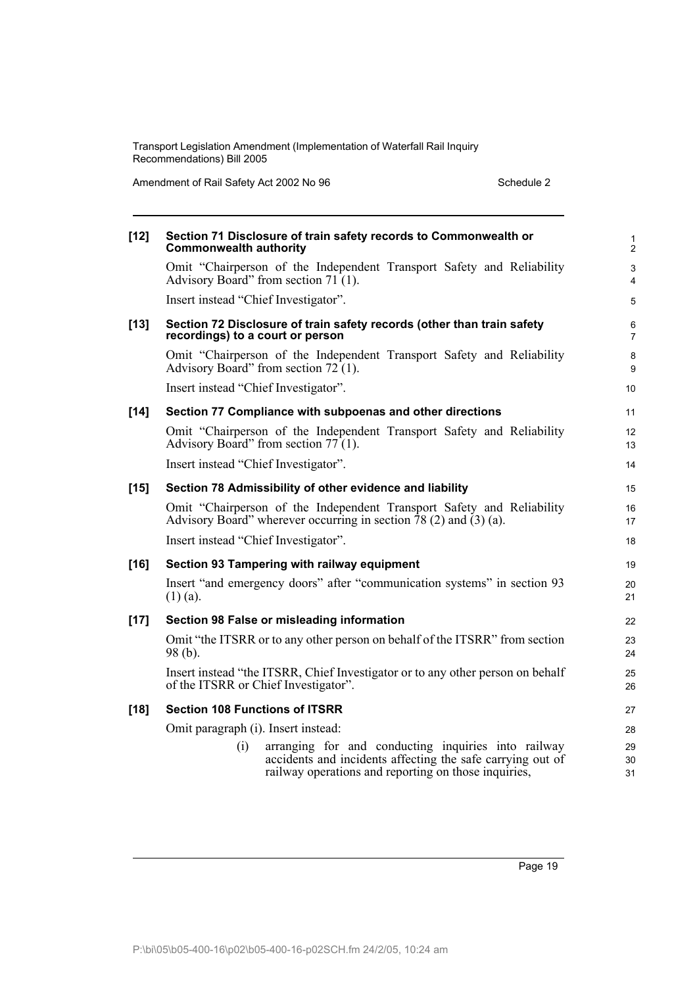Amendment of Rail Safety Act 2002 No 96 Schedule 2

| $[12]$ | Section 71 Disclosure of train safety records to Commonwealth or<br><b>Commonwealth authority</b>                                                                                | $\mathbf{1}$<br>$\mathbf{2}$ |
|--------|----------------------------------------------------------------------------------------------------------------------------------------------------------------------------------|------------------------------|
|        | Omit "Chairperson of the Independent Transport Safety and Reliability<br>Advisory Board" from section 71 (1).                                                                    | $\mathsf 3$<br>4             |
|        | Insert instead "Chief Investigator".                                                                                                                                             | 5                            |
| $[13]$ | Section 72 Disclosure of train safety records (other than train safety<br>recordings) to a court or person                                                                       | 6<br>$\overline{7}$          |
|        | Omit "Chairperson of the Independent Transport Safety and Reliability<br>Advisory Board" from section 72 (1).                                                                    | 8<br>9                       |
|        | Insert instead "Chief Investigator".                                                                                                                                             | 10                           |
| $[14]$ | Section 77 Compliance with subpoenas and other directions                                                                                                                        | 11                           |
|        | Omit "Chairperson of the Independent Transport Safety and Reliability<br>Advisory Board" from section $77(1)$ .                                                                  | 12<br>13                     |
|        | Insert instead "Chief Investigator".                                                                                                                                             | 14                           |
| $[15]$ | Section 78 Admissibility of other evidence and liability                                                                                                                         | 15                           |
|        | Omit "Chairperson of the Independent Transport Safety and Reliability<br>Advisory Board" wherever occurring in section $\bar{7}8(2)$ and $(3)(a)$ .                              | 16<br>17                     |
|        | Insert instead "Chief Investigator".                                                                                                                                             | 18                           |
| $[16]$ | Section 93 Tampering with railway equipment                                                                                                                                      | 19                           |
|        | Insert "and emergency doors" after "communication systems" in section 93<br>$(1)$ (a).                                                                                           | 20<br>21                     |
| $[17]$ | Section 98 False or misleading information                                                                                                                                       | 22                           |
|        | Omit "the ITSRR or to any other person on behalf of the ITSRR" from section<br>$98(b)$ .                                                                                         | 23<br>24                     |
|        | Insert instead "the ITSRR, Chief Investigator or to any other person on behalf<br>of the ITSRR or Chief Investigator".                                                           | 25<br>26                     |
| $[18]$ | <b>Section 108 Functions of ITSRR</b>                                                                                                                                            | 27                           |
|        | Omit paragraph (i). Insert instead:                                                                                                                                              | 28                           |
|        | arranging for and conducting inquiries into railway<br>(i)<br>accidents and incidents affecting the safe carrying out of<br>railway operations and reporting on those inquiries, | 29<br>30<br>31               |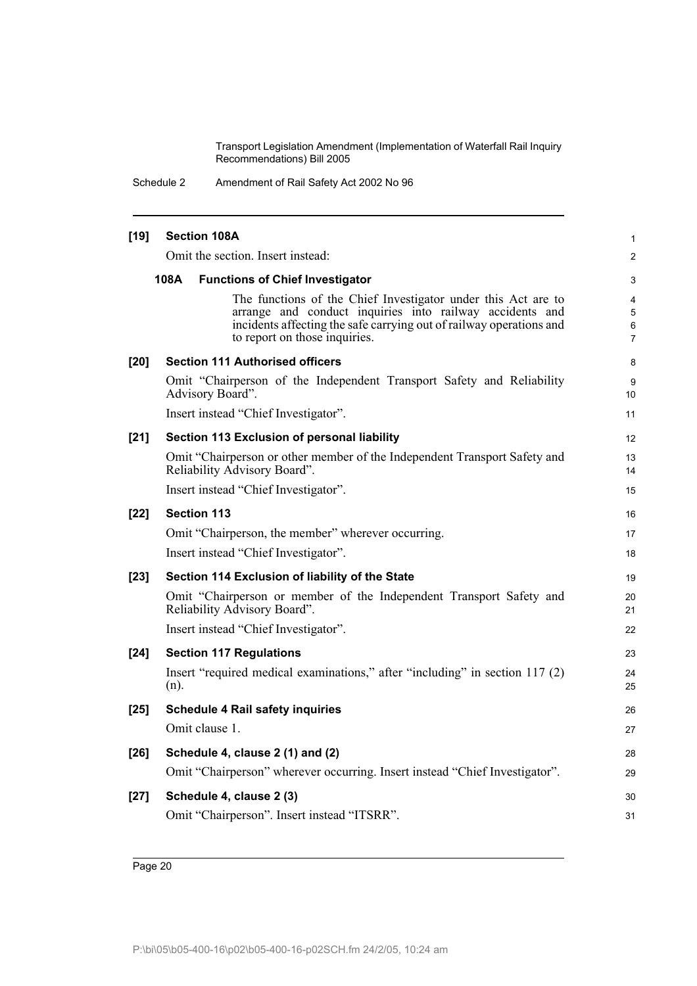Schedule 2 Amendment of Rail Safety Act 2002 No 96

| $[19]$ | <b>Section 108A</b>                                                                                                                                                                                                               | 1                |
|--------|-----------------------------------------------------------------------------------------------------------------------------------------------------------------------------------------------------------------------------------|------------------|
|        | Omit the section. Insert instead:                                                                                                                                                                                                 | 2                |
|        | 108A<br><b>Functions of Chief Investigator</b>                                                                                                                                                                                    | 3                |
|        | The functions of the Chief Investigator under this Act are to<br>arrange and conduct inquiries into railway accidents and<br>incidents affecting the safe carrying out of railway operations and<br>to report on those inquiries. | 4<br>5<br>6<br>7 |
| [20]   | <b>Section 111 Authorised officers</b>                                                                                                                                                                                            | 8                |
|        | Omit "Chairperson of the Independent Transport Safety and Reliability<br>Advisory Board".                                                                                                                                         | 9<br>10          |
|        | Insert instead "Chief Investigator".                                                                                                                                                                                              | 11               |
| $[21]$ | Section 113 Exclusion of personal liability                                                                                                                                                                                       | 12               |
|        | Omit "Chairperson or other member of the Independent Transport Safety and<br>Reliability Advisory Board".                                                                                                                         | 13<br>14         |
|        | Insert instead "Chief Investigator".                                                                                                                                                                                              | 15               |
| $[22]$ | <b>Section 113</b>                                                                                                                                                                                                                | 16               |
|        | Omit "Chairperson, the member" wherever occurring.                                                                                                                                                                                | 17               |
|        | Insert instead "Chief Investigator".                                                                                                                                                                                              | 18               |
| $[23]$ | Section 114 Exclusion of liability of the State                                                                                                                                                                                   | 19               |
|        | Omit "Chairperson or member of the Independent Transport Safety and<br>Reliability Advisory Board".                                                                                                                               | 20<br>21         |
|        | Insert instead "Chief Investigator".                                                                                                                                                                                              | 22               |
| $[24]$ | <b>Section 117 Regulations</b>                                                                                                                                                                                                    | 23               |
|        | Insert "required medical examinations," after "including" in section 117 (2)<br>$(n)$ .                                                                                                                                           | 24<br>25         |
| $[25]$ | <b>Schedule 4 Rail safety inquiries</b>                                                                                                                                                                                           | 26               |
|        | Omit clause 1.                                                                                                                                                                                                                    | 27               |
| $[26]$ | Schedule 4, clause 2 (1) and (2)                                                                                                                                                                                                  | 28               |
|        | Omit "Chairperson" wherever occurring. Insert instead "Chief Investigator".                                                                                                                                                       | 29               |
| $[27]$ | Schedule 4, clause 2 (3)                                                                                                                                                                                                          | 30               |
|        | Omit "Chairperson". Insert instead "ITSRR".                                                                                                                                                                                       | 31               |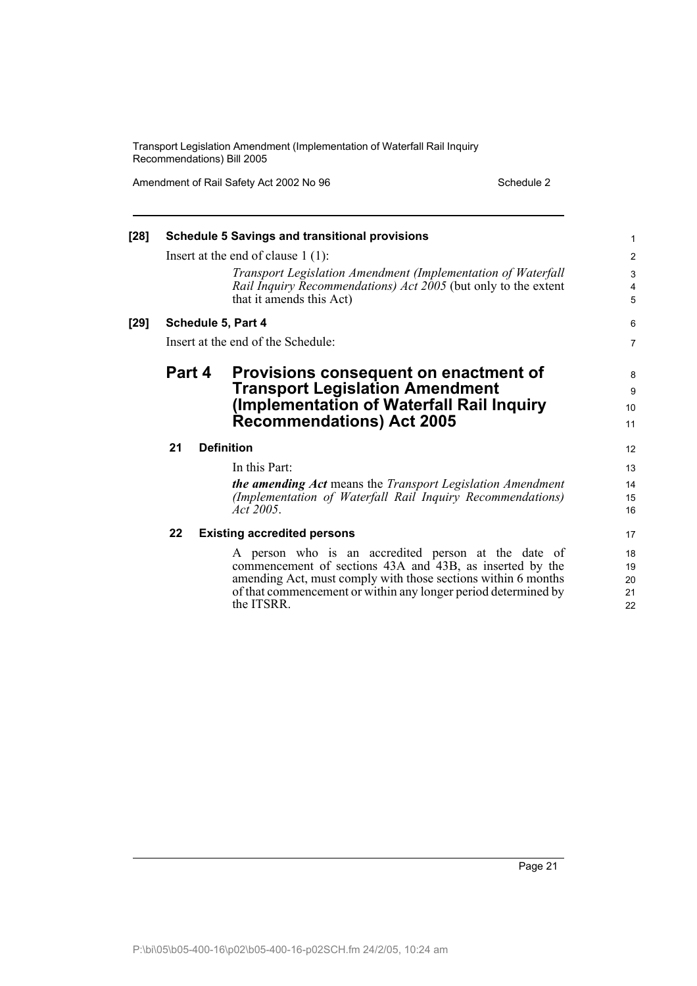Amendment of Rail Safety Act 2002 No 96 Schedule 2

| $[28]$ |        |  | <b>Schedule 5 Savings and transitional provisions</b>                                                                                                      | $\mathbf{1}$   |
|--------|--------|--|------------------------------------------------------------------------------------------------------------------------------------------------------------|----------------|
|        |        |  | Insert at the end of clause $1(1)$ :                                                                                                                       | 2              |
|        |        |  | Transport Legislation Amendment (Implementation of Waterfall<br>Rail Inquiry Recommendations) Act 2005 (but only to the extent<br>that it amends this Act) | 3<br>4<br>5    |
| $[29]$ |        |  | Schedule 5, Part 4                                                                                                                                         | 6              |
|        |        |  | Insert at the end of the Schedule:                                                                                                                         | $\overline{7}$ |
|        | Part 4 |  | Provisions consequent on enactment of                                                                                                                      | 8              |
|        |        |  | <b>Transport Legislation Amendment</b>                                                                                                                     | 9              |
|        |        |  | (Implementation of Waterfall Rail Inquiry)                                                                                                                 | 10             |
|        |        |  | <b>Recommendations) Act 2005</b>                                                                                                                           | 11             |
|        | 21     |  | <b>Definition</b>                                                                                                                                          | 12             |
|        |        |  | In this Part:                                                                                                                                              | 13             |
|        |        |  | <b>the amending Act</b> means the Transport Legislation Amendment                                                                                          | 14             |
|        |        |  | (Implementation of Waterfall Rail Inquiry Recommendations)                                                                                                 | 15             |
|        |        |  | Act 2005.                                                                                                                                                  | 16             |
|        | 22     |  | <b>Existing accredited persons</b>                                                                                                                         | 17             |
|        |        |  | A person who is an accredited person at the date of                                                                                                        | 18             |
|        |        |  | commencement of sections 43A and 43B, as inserted by the                                                                                                   | 19             |
|        |        |  | amending Act, must comply with those sections within 6 months                                                                                              | 20             |
|        |        |  | of that commencement or within any longer period determined by                                                                                             | 21             |
|        |        |  | the ITSRR.                                                                                                                                                 | 22             |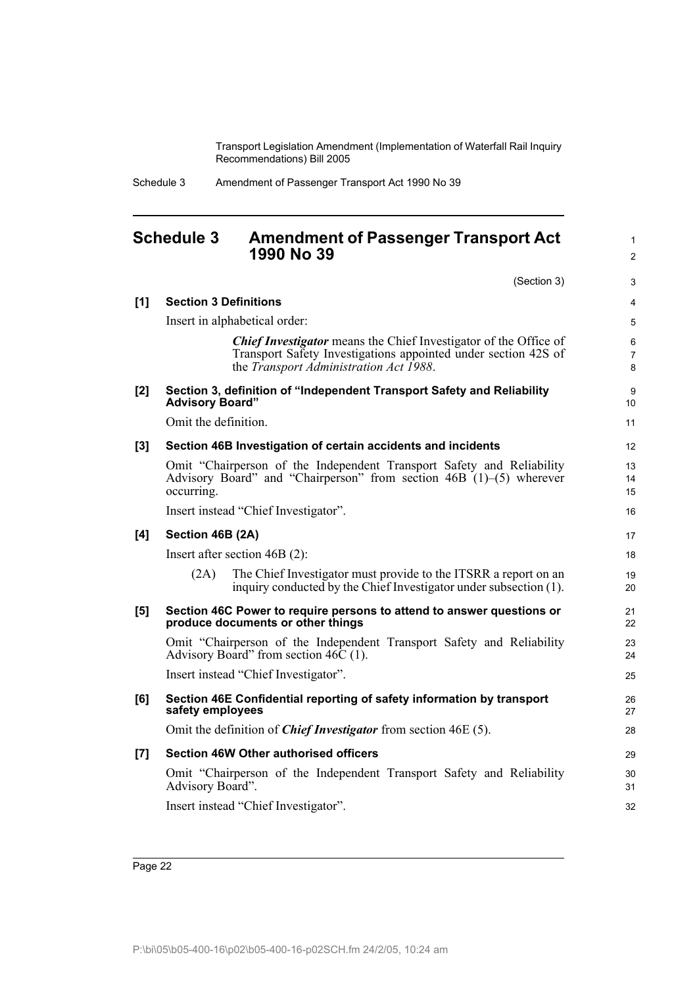|  | Schedule 3 | Amendment of Passenger Transport Act 1990 No 39 |
|--|------------|-------------------------------------------------|
|--|------------|-------------------------------------------------|

## <span id="page-27-0"></span>**Schedule 3 Amendment of Passenger Transport Act 1990 No 39**

1 2

|     | (Section 3)                                                                                                                                                                         | 3              |
|-----|-------------------------------------------------------------------------------------------------------------------------------------------------------------------------------------|----------------|
| [1] | <b>Section 3 Definitions</b>                                                                                                                                                        | 4              |
|     | Insert in alphabetical order:                                                                                                                                                       | 5              |
|     | <b>Chief Investigator</b> means the Chief Investigator of the Office of<br>Transport Safety Investigations appointed under section 42S of<br>the Transport Administration Act 1988. | 6<br>7<br>8    |
| [2] | Section 3, definition of "Independent Transport Safety and Reliability<br><b>Advisory Board"</b>                                                                                    | 9<br>10        |
|     | Omit the definition.                                                                                                                                                                | 11             |
| [3] | Section 46B Investigation of certain accidents and incidents                                                                                                                        | 12             |
|     | Omit "Chairperson of the Independent Transport Safety and Reliability<br>Advisory Board" and "Chairperson" from section 46B (1)–(5) wherever<br>occurring.                          | 13<br>14<br>15 |
|     | Insert instead "Chief Investigator".                                                                                                                                                | 16             |
| [4] | Section 46B (2A)                                                                                                                                                                    | 17             |
|     | Insert after section $46B(2)$ :                                                                                                                                                     | 18             |
|     | The Chief Investigator must provide to the ITSRR a report on an<br>(2A)<br>inquiry conducted by the Chief Investigator under subsection (1).                                        | 19<br>20       |
| [5] | Section 46C Power to require persons to attend to answer questions or<br>produce documents or other things                                                                          | 21<br>22       |
|     | Omit "Chairperson of the Independent Transport Safety and Reliability<br>Advisory Board" from section $46\overline{C}$ (1).                                                         | 23<br>24       |
|     | Insert instead "Chief Investigator".                                                                                                                                                | 25             |
| [6] | Section 46E Confidential reporting of safety information by transport<br>safety employees                                                                                           | 26<br>27       |
|     | Omit the definition of <i>Chief Investigator</i> from section 46E (5).                                                                                                              | 28             |
| [7] | <b>Section 46W Other authorised officers</b>                                                                                                                                        | 29             |
|     | Omit "Chairperson of the Independent Transport Safety and Reliability<br>Advisory Board".                                                                                           | 30<br>31       |
|     | Insert instead "Chief Investigator".                                                                                                                                                | 32             |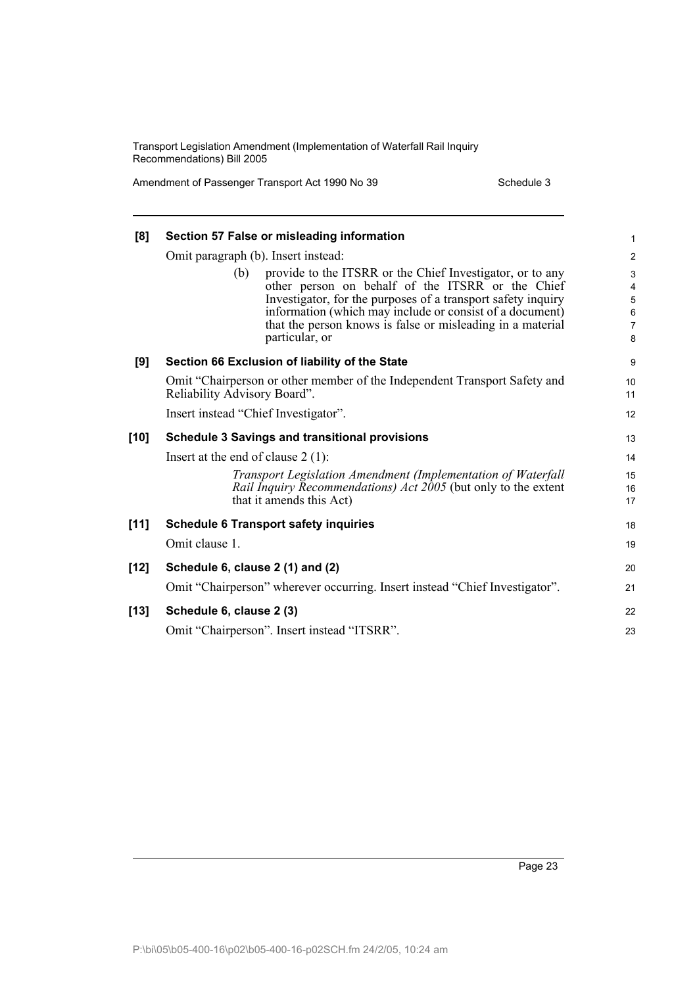Amendment of Passenger Transport Act 1990 No 39 Schedule 3

| [8]    | Section 57 False or misleading information                                                                                                                                                                                                                                                                                       | 1                                                                  |
|--------|----------------------------------------------------------------------------------------------------------------------------------------------------------------------------------------------------------------------------------------------------------------------------------------------------------------------------------|--------------------------------------------------------------------|
|        | Omit paragraph (b). Insert instead:                                                                                                                                                                                                                                                                                              |                                                                    |
|        | provide to the ITSRR or the Chief Investigator, or to any<br>(b)<br>other person on behalf of the ITSRR or the Chief<br>Investigator, for the purposes of a transport safety inquiry<br>information (which may include or consist of a document)<br>that the person knows is false or misleading in a material<br>particular, or | $\overline{\mathbf{c}}$<br>3<br>4<br>5<br>$\overline{6}$<br>7<br>8 |
| [9]    | Section 66 Exclusion of liability of the State                                                                                                                                                                                                                                                                                   | 9                                                                  |
|        | Omit "Chairperson or other member of the Independent Transport Safety and<br>Reliability Advisory Board".                                                                                                                                                                                                                        | 10<br>11                                                           |
|        | Insert instead "Chief Investigator".                                                                                                                                                                                                                                                                                             | 12                                                                 |
| $[10]$ | <b>Schedule 3 Savings and transitional provisions</b>                                                                                                                                                                                                                                                                            |                                                                    |
|        | Insert at the end of clause $2(1)$ :                                                                                                                                                                                                                                                                                             |                                                                    |
|        | Transport Legislation Amendment (Implementation of Waterfall<br>Rail Inquiry Recommendations) Act 2005 (but only to the extent<br>that it amends this Act)                                                                                                                                                                       | 15<br>16<br>17                                                     |
| $[11]$ | <b>Schedule 6 Transport safety inquiries</b>                                                                                                                                                                                                                                                                                     | 18                                                                 |
|        | Omit clause 1.                                                                                                                                                                                                                                                                                                                   | 19                                                                 |
| $[12]$ | Schedule 6, clause 2 (1) and (2)                                                                                                                                                                                                                                                                                                 | 20                                                                 |
|        | Omit "Chairperson" wherever occurring. Insert instead "Chief Investigator".                                                                                                                                                                                                                                                      | 21                                                                 |
| $[13]$ | Schedule 6, clause 2 (3)                                                                                                                                                                                                                                                                                                         | 22                                                                 |
|        | Omit "Chairperson". Insert instead "ITSRR".                                                                                                                                                                                                                                                                                      | 23                                                                 |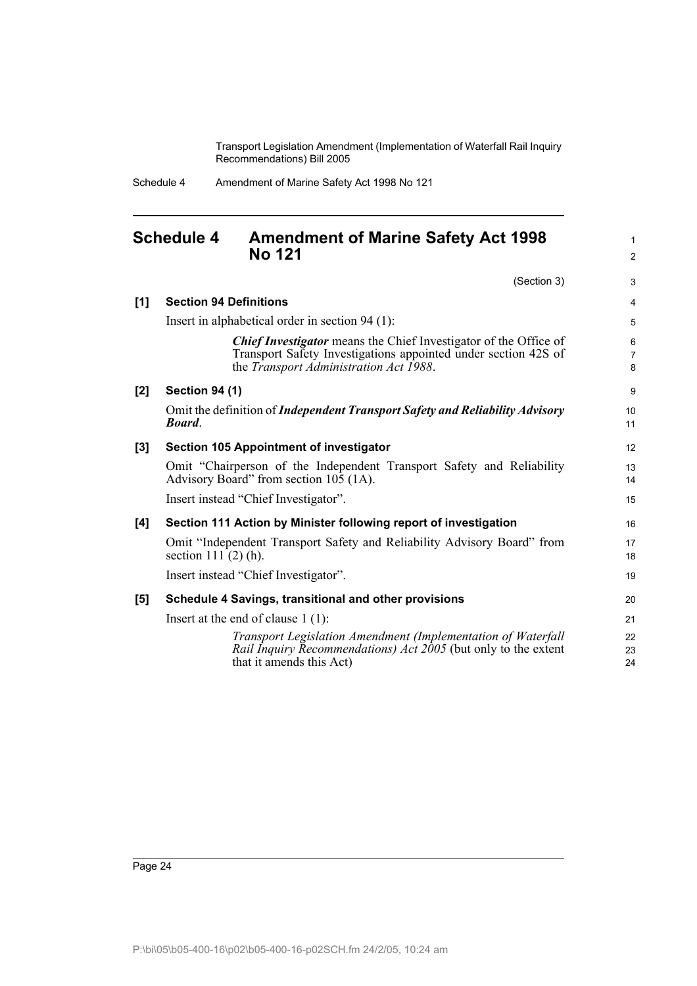> 1 2

| Schedule 4 | Amendment of Marine Safety Act 1998 No 121 |
|------------|--------------------------------------------|
|------------|--------------------------------------------|

## <span id="page-29-0"></span>**Schedule 4 Amendment of Marine Safety Act 1998 No 121**

(Section 3) **[1] Section 94 Definitions** Insert in alphabetical order in section 94 (1): *Chief Investigator* means the Chief Investigator of the Office of Transport Safety Investigations appointed under section 42S of the *Transport Administration Act 1988*. **[2] Section 94 (1)** Omit the definition of *Independent Transport Safety and Reliability Advisory Board*. **[3] Section 105 Appointment of investigator** Omit "Chairperson of the Independent Transport Safety and Reliability Advisory Board" from section 105 (1A). Insert instead "Chief Investigator". **[4] Section 111 Action by Minister following report of investigation** Omit "Independent Transport Safety and Reliability Advisory Board" from section 111 (2) (h). Insert instead "Chief Investigator". **[5] Schedule 4 Savings, transitional and other provisions** Insert at the end of clause 1 (1): *Transport Legislation Amendment (Implementation of Waterfall Rail Inquiry Recommendations) Act 2005* (but only to the extent that it amends this Act) 3 4 5 6 7 8 9 10 11 12 13 14 15 16 17 18 19 20 21 22 23 24